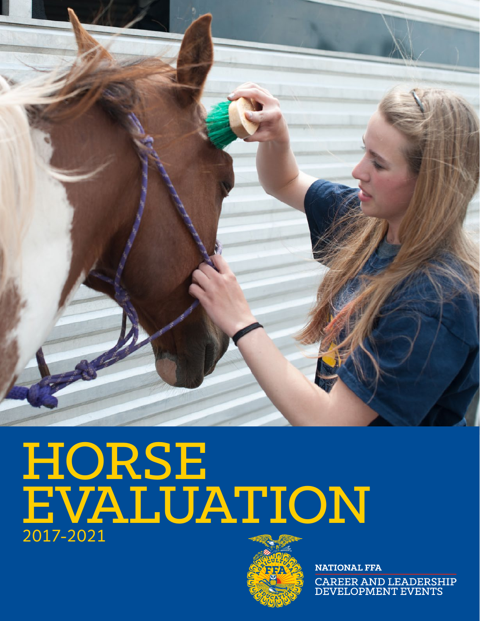

# HORSE. EVALUATION 2017-2021



**NATIONAL FFA** CAREER AND LEADERSHIP<br>DEVELOPMENT EVENTS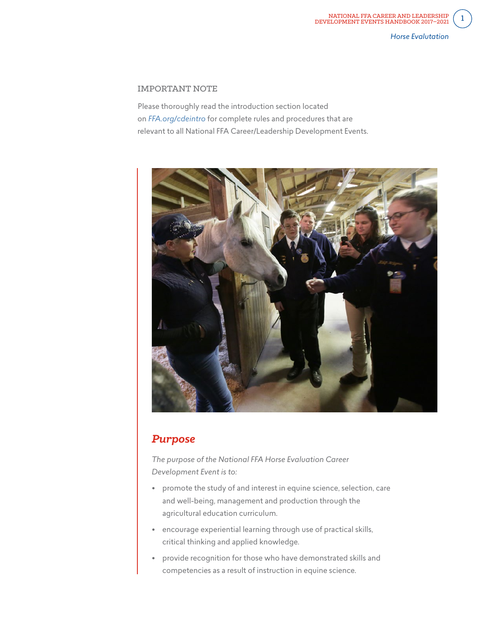## IMPORTANT NOTE

Please thoroughly read the introduction section located on *[FFA.org/cdeintro](https://www.ffa.org/cdeintro)* for complete rules and procedures that are relevant to all National FFA Career/Leadership Development Events.



# *Purpose*

*The purpose of the National FFA Horse Evaluation Career Development Event is to:*

- promote the study of and interest in equine science, selection, care and well-being, management and production through the agricultural education curriculum.
- encourage experiential learning through use of practical skills, critical thinking and applied knowledge.
- provide recognition for those who have demonstrated skills and competencies as a result of instruction in equine science.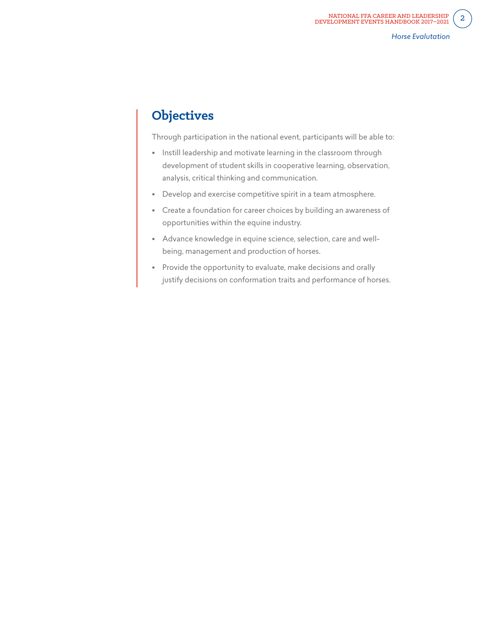# **Objectives**

Through participation in the national event, participants will be able to:

- Instill leadership and motivate learning in the classroom through development of student skills in cooperative learning, observation, analysis, critical thinking and communication.
- Develop and exercise competitive spirit in a team atmosphere.
- Create a foundation for career choices by building an awareness of opportunities within the equine industry.
- Advance knowledge in equine science, selection, care and wellbeing, management and production of horses.
- Provide the opportunity to evaluate, make decisions and orally justify decisions on conformation traits and performance of horses.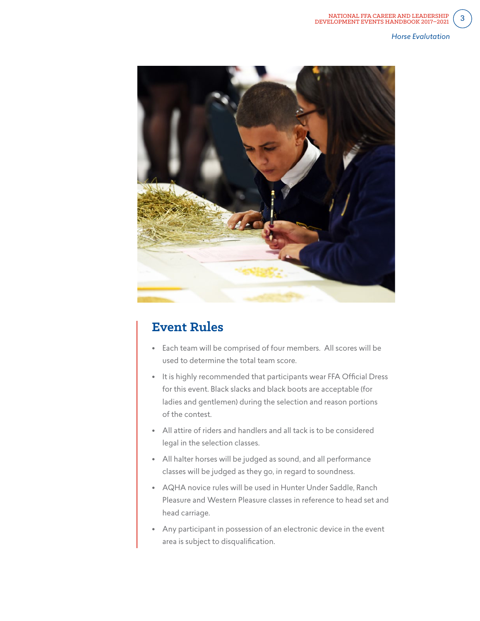*Horse Evalutation*



# **Event Rules**

- Each team will be comprised of four members. All scores will be used to determine the total team score.
- It is highly recommended that participants wear FFA Official Dress for this event. Black slacks and black boots are acceptable (for ladies and gentlemen) during the selection and reason portions of the contest.
- All attire of riders and handlers and all tack is to be considered legal in the selection classes.
- All halter horses will be judged as sound, and all performance classes will be judged as they go, in regard to soundness.
- AQHA novice rules will be used in Hunter Under Saddle, Ranch Pleasure and Western Pleasure classes in reference to head set and head carriage.
- Any participant in possession of an electronic device in the event area is subject to disqualification.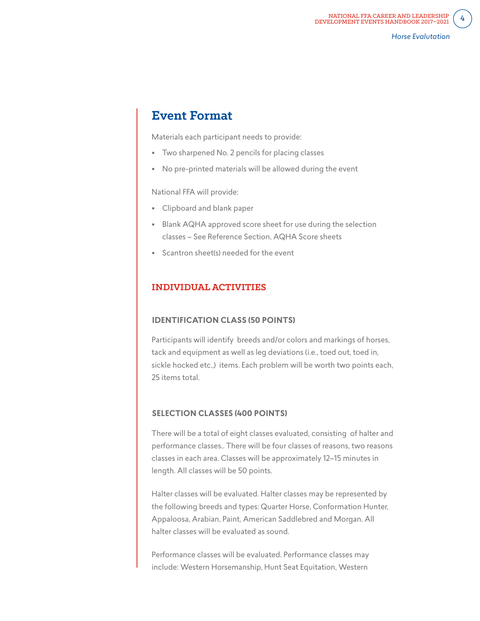# **Event Format**

Materials each participant needs to provide:

- Two sharpened No. 2 pencils for placing classes
- No pre-printed materials will be allowed during the event

National FFA will provide:

- Clipboard and blank paper
- Blank AQHA approved score sheet for use during the selection classes – See Reference Section, AQHA Score sheets
- Scantron sheet(s) needed for the event

## **INDIVIDUAL ACTIVITIES**

#### **IDENTIFICATION CLASS (50 POINTS)**

Participants will identify breeds and/or colors and markings of horses, tack and equipment as well as leg deviations (i.e., toed out, toed in, sickle hocked etc.,) items. Each problem will be worth two points each, 25 items total.

#### **SELECTION CLASSES (400 POINTS)**

There will be a total of eight classes evaluated, consisting of halter and performance classes.. There will be four classes of reasons, two reasons classes in each area. Classes will be approximately 12–15 minutes in length. All classes will be 50 points.

Halter classes will be evaluated. Halter classes may be represented by the following breeds and types: Quarter Horse, Conformation Hunter, Appaloosa, Arabian, Paint, American Saddlebred and Morgan. All halter classes will be evaluated as sound.

Performance classes will be evaluated. Performance classes may include: Western Horsemanship, Hunt Seat Equitation, Western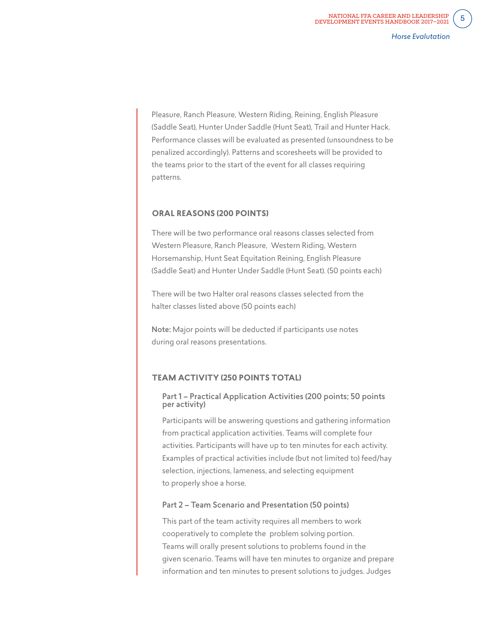Pleasure, Ranch Pleasure, Western Riding, Reining, English Pleasure (Saddle Seat), Hunter Under Saddle (Hunt Seat), Trail and Hunter Hack. Performance classes will be evaluated as presented (unsoundness to be penalized accordingly). Patterns and scoresheets will be provided to the teams prior to the start of the event for all classes requiring patterns.

#### **ORAL REASONS (200 POINTS)**

There will be two performance oral reasons classes selected from Western Pleasure, Ranch Pleasure, Western Riding, Western Horsemanship, Hunt Seat Equitation Reining, English Pleasure (Saddle Seat) and Hunter Under Saddle (Hunt Seat). (50 points each)

There will be two Halter oral reasons classes selected from the halter classes listed above (50 points each)

Note: Major points will be deducted if participants use notes during oral reasons presentations.

#### **TEAM ACTIVITY (250 POINTS TOTAL)**

#### Part 1 – Practical Application Activities (200 points; 50 points per activity)

Participants will be answering questions and gathering information from practical application activities. Teams will complete four activities. Participants will have up to ten minutes for each activity. Examples of practical activities include (but not limited to) feed/hay selection, injections, lameness, and selecting equipment to properly shoe a horse.

#### Part 2 – Team Scenario and Presentation (50 points)

This part of the team activity requires all members to work cooperatively to complete the problem solving portion. Teams will orally present solutions to problems found in the given scenario. Teams will have ten minutes to organize and prepare information and ten minutes to present solutions to judges. Judges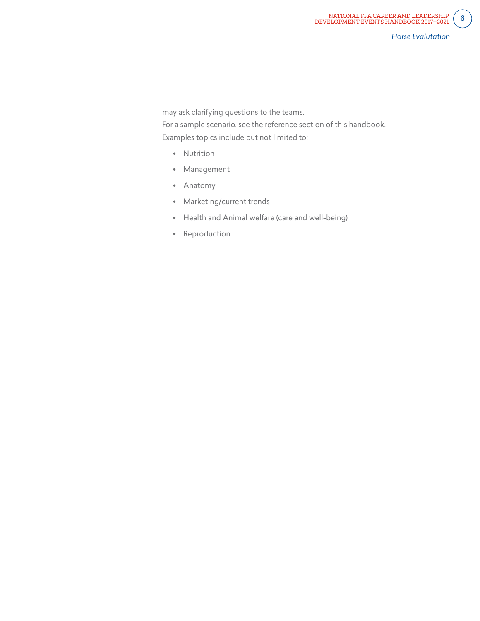may ask clarifying questions to the teams.

For a sample scenario, see the reference section of this handbook. Examples topics include but not limited to:

- Nutrition
- Management
- Anatomy
- Marketing/current trends
- Health and Animal welfare (care and well-being)
- Reproduction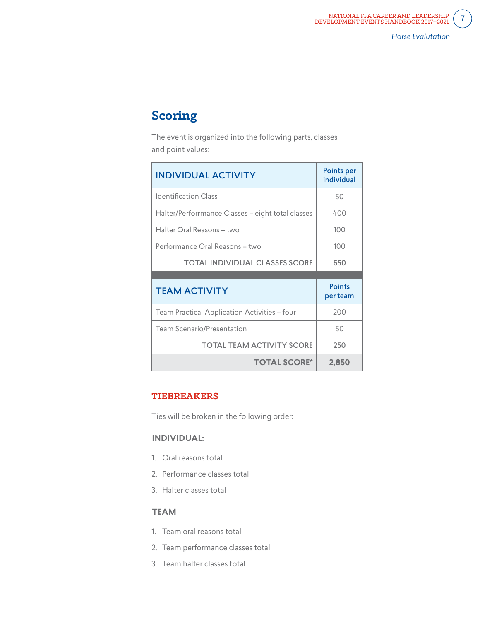# **Scoring**

The event is organized into the following parts, classes and point values:

| <b>INDIVIDUAL ACTIVITY</b>                        | <b>Points per</b><br>individual |
|---------------------------------------------------|---------------------------------|
| Identification Class                              | 50                              |
| Halter/Perforrmance Classes - eight total classes | 400                             |
| Halter Oral Reasons - two                         | 100                             |
| Performance Oral Reasons - two                    | 100                             |
| <b>TOTAL INDIVIDUAL CLASSES SCORE</b>             | 650                             |
|                                                   |                                 |
|                                                   |                                 |
| <b>TEAM ACTIVITY</b>                              | <b>Points</b><br>per team       |
| Team Practical Application Activities - four      | 200                             |
| Team Scenario/Presentation                        | 50                              |
| <b>TOTAL TEAM ACTIVITY SCORE</b>                  | 250                             |

# **TIEBREAKERS**

Ties will be broken in the following order:

## **INDIVIDUAL:**

- 1. Oral reasons total
- 2. Performance classes total
- 3. Halter classes total

## **TEAM**

- 1. Team oral reasons total
- 2. Team performance classes total
- 3. Team halter classes total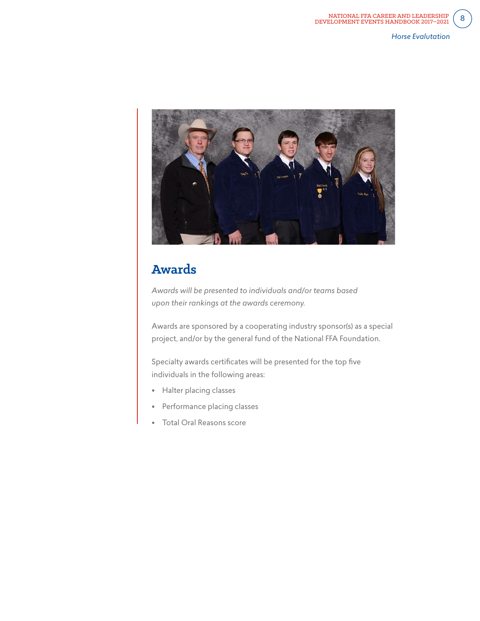

# **Awards**

*Awards will be presented to individuals and/or teams based upon their rankings at the awards ceremony.*

Awards are sponsored by a cooperating industry sponsor(s) as a special project, and/or by the general fund of the National FFA Foundation.

Specialty awards certificates will be presented for the top five individuals in the following areas:

- Halter placing classes
- Performance placing classes
- Total Oral Reasons score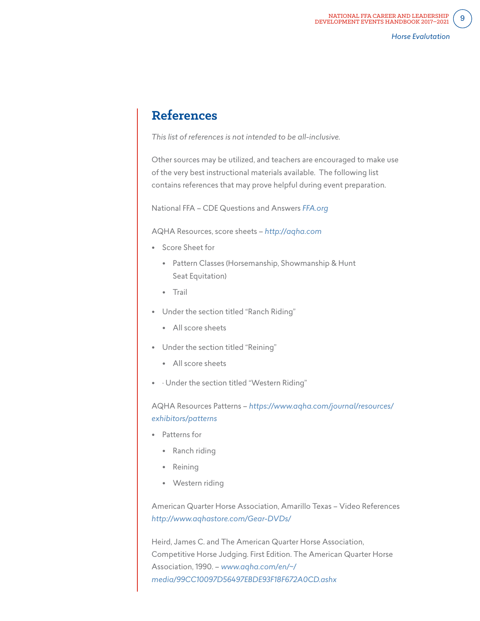# **References**

*This list of references is not intended to be all-inclusive.*

Other sources may be utilized, and teachers are encouraged to make use of the very best instructional materials available. The following list contains references that may prove helpful during event preparation.

National FFA – CDE Questions and Answers *FFA.org*

AQHA Resources, score sheets – *http://aqha.com*

- Score Sheet for
	- Pattern Classes (Horsemanship, Showmanship & Hunt Seat Equitation)
	- Trail
- Under the section titled "Ranch Riding"
	- All score sheets
- Under the section titled "Reining"
	- All score sheets
- · Under the section titled "Western Riding"

AQHA Resources Patterns – *https://www.aqha.com/journal/resources/ exhibitors/patterns*

- Patterns for
	- Ranch riding
	- Reining
	- Western riding

American Quarter Horse Association, Amarillo Texas – Video References *http://www.aqhastore.com/Gear-DVDs/*

Heird, James C. and The American Quarter Horse Association, Competitive Horse Judging. First Edition. The American Quarter Horse Association, 1990. – *www.aqha.com/en/~/ media/99CC10097D56497EBDE93F18F672A0CD.ashx*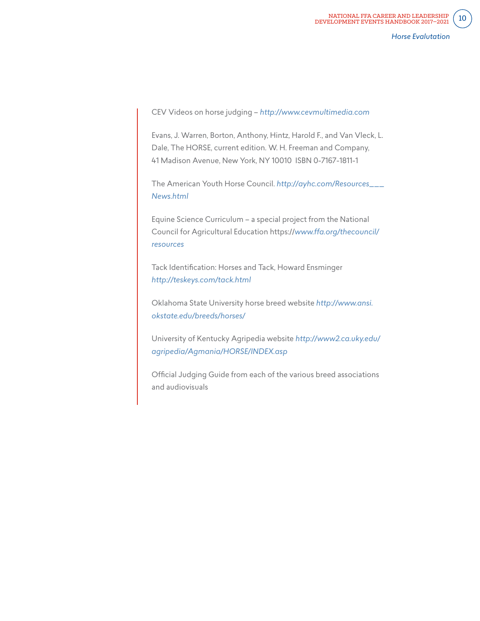CEV Videos on horse judging – *http://www.cevmultimedia.com*

Evans, J. Warren, Borton, Anthony, Hintz, Harold F., and Van Vleck, L. Dale, The HORSE, current edition. W. H. Freeman and Company, 41 Madison Avenue, New York, NY 10010 ISBN 0-7167-1811-1

The American Youth Horse Council. *http://ayhc.com/Resources\_\_\_ News.html*

Equine Science Curriculum – a special project from the National Council for Agricultural Education https://*www.ffa.org/thecouncil/ resources*

Tack Identification: Horses and Tack, Howard Ensminger *http://teskeys.com/tack.html*

Oklahoma State University horse breed website *http://www.ansi. okstate.edu/breeds/horses/*

University of Kentucky Agripedia website *http://www2.ca.uky.edu/ agripedia/Agmania/HORSE/INDEX.asp*

Official Judging Guide from each of the various breed associations and audiovisuals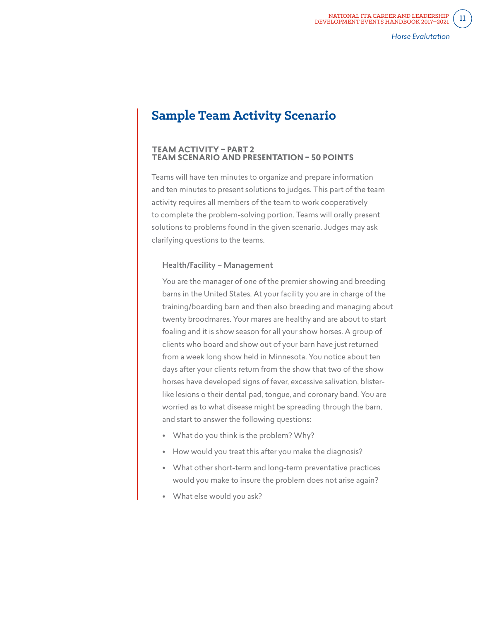# **Sample Team Activity Scenario**

#### **TEAM ACTIVITY – PART 2 TEAM SCENARIO AND PRESENTATION – 50 POINTS**

Teams will have ten minutes to organize and prepare information and ten minutes to present solutions to judges. This part of the team activity requires all members of the team to work cooperatively to complete the problem-solving portion. Teams will orally present solutions to problems found in the given scenario. Judges may ask clarifying questions to the teams.

#### Health/Facility – Management

You are the manager of one of the premier showing and breeding barns in the United States. At your facility you are in charge of the training/boarding barn and then also breeding and managing about twenty broodmares. Your mares are healthy and are about to start foaling and it is show season for all your show horses. A group of clients who board and show out of your barn have just returned from a week long show held in Minnesota. You notice about ten days after your clients return from the show that two of the show horses have developed signs of fever, excessive salivation, blisterlike lesions o their dental pad, tongue, and coronary band. You are worried as to what disease might be spreading through the barn, and start to answer the following questions:

- What do you think is the problem? Why?
- How would you treat this after you make the diagnosis?
- What other short-term and long-term preventative practices would you make to insure the problem does not arise again?
- What else would you ask?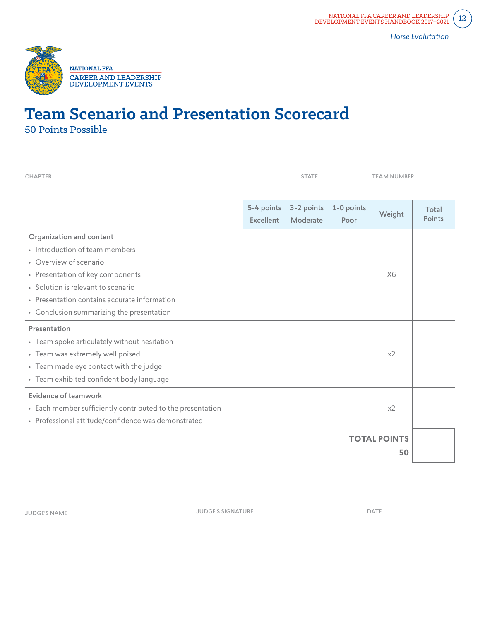

# **Team Scenario and Presentation Scorecard** 50 Points Possible

| <b>CHAPTER</b>                                             | <b>STATE</b>                   |                        |                    | <b>TEAM NUMBER</b>  |                 |
|------------------------------------------------------------|--------------------------------|------------------------|--------------------|---------------------|-----------------|
|                                                            | 5-4 points<br><b>Excellent</b> | 3-2 points<br>Moderate | 1-0 points<br>Poor | Weight              | Total<br>Points |
| Organization and content                                   |                                |                        |                    |                     |                 |
| • Introduction of team members                             |                                |                        |                    |                     |                 |
| • Overview of scenario                                     |                                |                        |                    |                     |                 |
| • Presentation of key components                           |                                |                        |                    | X6                  |                 |
| · Solution is relevant to scenario                         |                                |                        |                    |                     |                 |
| • Presentation contains accurate information               |                                |                        |                    |                     |                 |
| • Conclusion summarizing the presentation                  |                                |                        |                    |                     |                 |
| Presentation                                               |                                |                        |                    |                     |                 |
| • Team spoke articulately without hesitation               |                                |                        |                    |                     |                 |
| • Team was extremely well poised                           |                                |                        |                    | x <sub>2</sub>      |                 |
| • Team made eye contact with the judge                     |                                |                        |                    |                     |                 |
| • Team exhibited confident body language                   |                                |                        |                    |                     |                 |
| Evidence of teamwork                                       |                                |                        |                    |                     |                 |
| • Each member sufficiently contributed to the presentation |                                |                        |                    | x <sub>2</sub>      |                 |
| · Professional attitude/confidence was demonstrated        |                                |                        |                    |                     |                 |
|                                                            |                                |                        |                    | <b>TOTAL POINTS</b> |                 |
|                                                            |                                |                        |                    | 50                  |                 |

**JUDGE'S NAME DATE**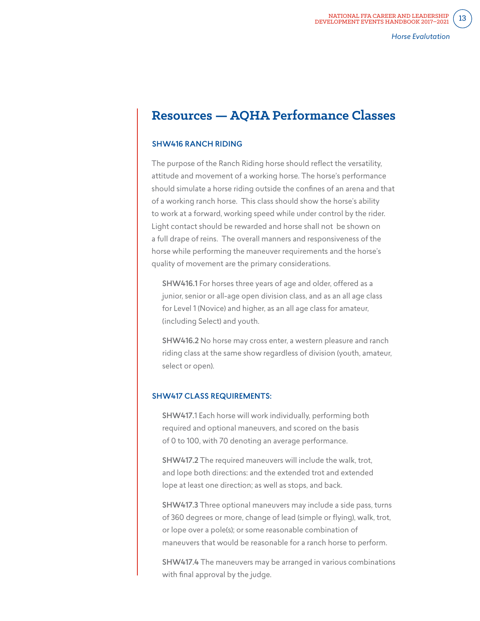# **Resources — AQHA Performance Classes**

#### SHW416 RANCH RIDING

The purpose of the Ranch Riding horse should reflect the versatility, attitude and movement of a working horse. The horse's performance should simulate a horse riding outside the confines of an arena and that of a working ranch horse. This class should show the horse's ability to work at a forward, working speed while under control by the rider. Light contact should be rewarded and horse shall not be shown on a full drape of reins. The overall manners and responsiveness of the horse while performing the maneuver requirements and the horse's quality of movement are the primary considerations.

SHW416.1 For horses three years of age and older, offered as a junior, senior or all-age open division class, and as an all age class for Level 1 (Novice) and higher, as an all age class for amateur, (including Select) and youth.

SHW416.2 No horse may cross enter, a western pleasure and ranch riding class at the same show regardless of division (youth, amateur, select or open).

#### SHW417 CLASS REQUIREMENTS:

SHW417.1 Each horse will work individually, performing both required and optional maneuvers, and scored on the basis of 0 to 100, with 70 denoting an average performance.

SHW417.2 The required maneuvers will include the walk, trot, and lope both directions: and the extended trot and extended lope at least one direction; as well as stops, and back.

SHW417.3 Three optional maneuvers may include a side pass, turns of 360 degrees or more, change of lead (simple or flying), walk, trot, or lope over a pole(s); or some reasonable combination of maneuvers that would be reasonable for a ranch horse to perform.

SHW417.4 The maneuvers may be arranged in various combinations with final approval by the judge.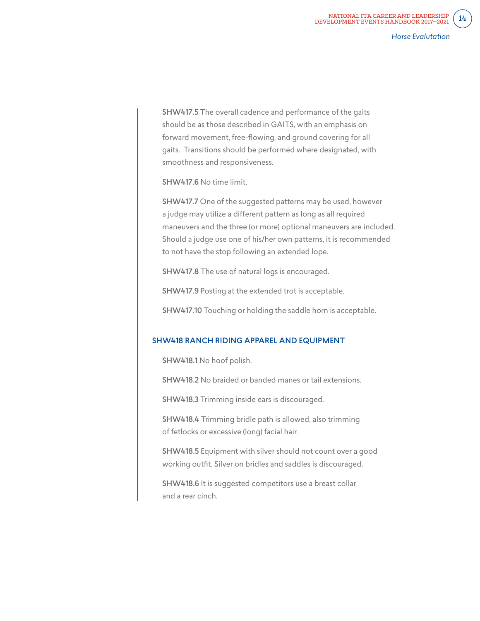SHW417.5 The overall cadence and performance of the gaits should be as those described in GAITS, with an emphasis on forward movement, free-flowing, and ground covering for all gaits. Transitions should be performed where designated, with smoothness and responsiveness.

SHW417.6 No time limit.

SHW417.7 One of the suggested patterns may be used, however a judge may utilize a different pattern as long as all required maneuvers and the three (or more) optional maneuvers are included. Should a judge use one of his/her own patterns, it is recommended to not have the stop following an extended lope.

SHW417.8 The use of natural logs is encouraged.

SHW417.9 Posting at the extended trot is acceptable.

SHW417.10 Touching or holding the saddle horn is acceptable.

#### SHW418 RANCH RIDING APPAREL AND EQUIPMENT

SHW418.1 No hoof polish.

SHW418.2 No braided or banded manes or tail extensions.

SHW418.3 Trimming inside ears is discouraged.

SHW418.4 Trimming bridle path is allowed, also trimming of fetlocks or excessive (long) facial hair.

SHW418.5 Equipment with silver should not count over a good working outfit. Silver on bridles and saddles is discouraged.

SHW418.6 It is suggested competitors use a breast collar and a rear cinch.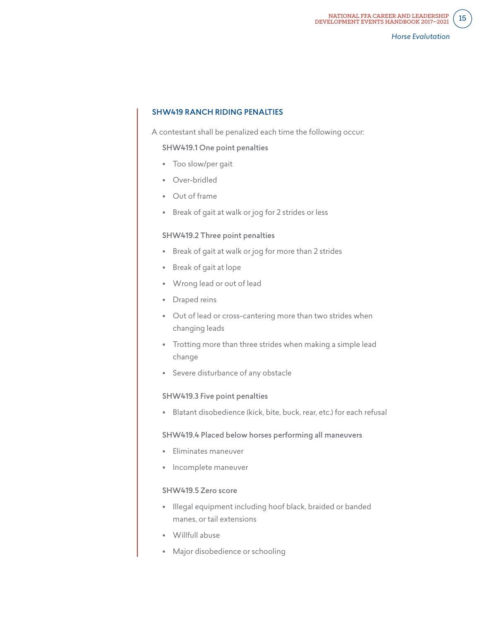#### SHW419 RANCH RIDING PENALTIES

A contestant shall be penalized each time the following occur:

#### SHW419.1 One point penalties

- Too slow/per gait
- Over-bridled
- Out of frame
- Break of gait at walk or jog for 2 strides or less

#### SHW419.2 Three point penalties

- Break of gait at walk or jog for more than 2 strides
- Break of gait at lope
- Wrong lead or out of lead
- Draped reins
- Out of lead or cross-cantering more than two strides when changing leads
- Trotting more than three strides when making a simple lead change
- Severe disturbance of any obstacle

#### SHW419.3 Five point penalties

• Blatant disobedience (kick, bite, buck, rear, etc.) for each refusal

#### SHW419.4 Placed below horses performing all maneuvers

- Eliminates maneuver
- Incomplete maneuver

#### SHW419.5 Zero score

- Illegal equipment including hoof black, braided or banded manes, or tail extensions
- Willfull abuse
- Major disobedience or schooling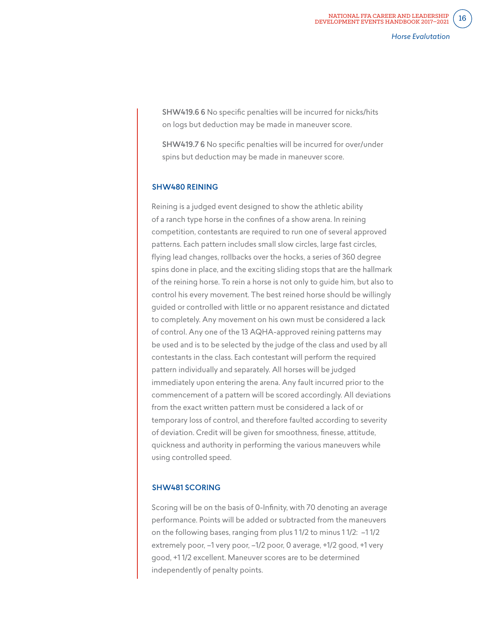SHW419.6 6 No specific penalties will be incurred for nicks/hits on logs but deduction may be made in maneuver score.

SHW419.7 6 No specific penalties will be incurred for over/under spins but deduction may be made in maneuver score.

#### SHW480 REINING

Reining is a judged event designed to show the athletic ability of a ranch type horse in the confines of a show arena. In reining competition, contestants are required to run one of several approved patterns. Each pattern includes small slow circles, large fast circles, flying lead changes, rollbacks over the hocks, a series of 360 degree spins done in place, and the exciting sliding stops that are the hallmark of the reining horse. To rein a horse is not only to guide him, but also to control his every movement. The best reined horse should be willingly guided or controlled with little or no apparent resistance and dictated to completely. Any movement on his own must be considered a lack of control. Any one of the 13 AQHA-approved reining patterns may be used and is to be selected by the judge of the class and used by all contestants in the class. Each contestant will perform the required pattern individually and separately. All horses will be judged immediately upon entering the arena. Any fault incurred prior to the commencement of a pattern will be scored accordingly. All deviations from the exact written pattern must be considered a lack of or temporary loss of control, and therefore faulted according to severity of deviation. Credit will be given for smoothness, finesse, attitude, quickness and authority in performing the various maneuvers while using controlled speed.

#### SHW481 SCORING

Scoring will be on the basis of 0-Infinity, with 70 denoting an average performance. Points will be added or subtracted from the maneuvers on the following bases, ranging from plus 1 1/2 to minus 1 1/2: –1 1/2 extremely poor, –1 very poor, –1/2 poor, 0 average, +1/2 good, +1 very good, +1 1/2 excellent. Maneuver scores are to be determined independently of penalty points.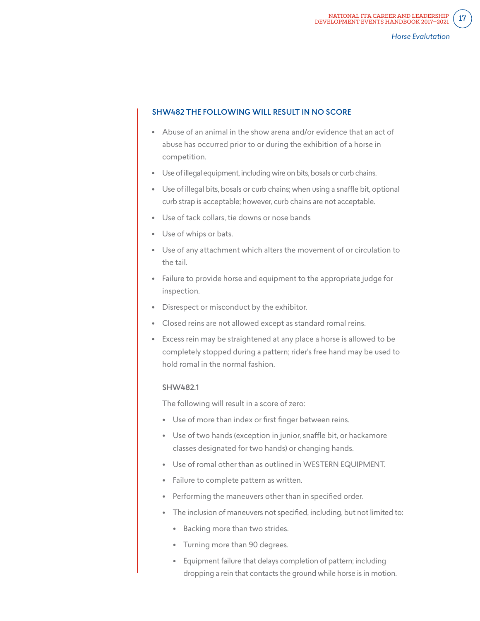#### SHW482 THE FOLLOWING WILL RESULT IN NO SCORE

- Abuse of an animal in the show arena and/or evidence that an act of abuse has occurred prior to or during the exhibition of a horse in competition.
- Use of illegal equipment, including wire on bits, bosals or curb chains.
- Use of illegal bits, bosals or curb chains; when using a snaffle bit, optional curb strap is acceptable; however, curb chains are not acceptable.
- Use of tack collars, tie downs or nose bands
- Use of whips or bats.
- Use of any attachment which alters the movement of or circulation to the tail.
- Failure to provide horse and equipment to the appropriate judge for inspection.
- Disrespect or misconduct by the exhibitor.
- Closed reins are not allowed except as standard romal reins.
- Excess rein may be straightened at any place a horse is allowed to be completely stopped during a pattern; rider's free hand may be used to hold romal in the normal fashion.

## SHW482.1

The following will result in a score of zero:

- Use of more than index or first finger between reins.
- Use of two hands (exception in junior, snaffle bit, or hackamore classes designated for two hands) or changing hands.
- Use of romal other than as outlined in WESTERN EQUIPMENT.
- Failure to complete pattern as written.
- Performing the maneuvers other than in specified order.
- The inclusion of maneuvers not specified, including, but not limited to:
	- Backing more than two strides.
	- Turning more than 90 degrees.
	- Equipment failure that delays completion of pattern; including dropping a rein that contacts the ground while horse is in motion.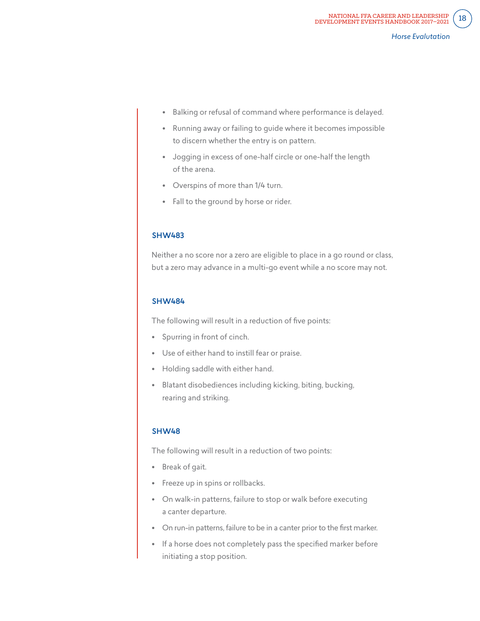- Balking or refusal of command where performance is delayed.
- Running away or failing to guide where it becomes impossible to discern whether the entry is on pattern.
- Jogging in excess of one-half circle or one-half the length of the arena.
- Overspins of more than 1/4 turn.
- Fall to the ground by horse or rider.

#### SHW483

Neither a no score nor a zero are eligible to place in a go round or class, but a zero may advance in a multi-go event while a no score may not.

#### SHW484

The following will result in a reduction of five points:

- Spurring in front of cinch.
- Use of either hand to instill fear or praise.
- Holding saddle with either hand.
- Blatant disobediences including kicking, biting, bucking, rearing and striking.

#### SHW48

The following will result in a reduction of two points:

- Break of gait.
- Freeze up in spins or rollbacks.
- On walk-in patterns, failure to stop or walk before executing a canter departure.
- On run-in patterns, failure to be in a canter prior to the first marker.
- If a horse does not completely pass the specified marker before initiating a stop position.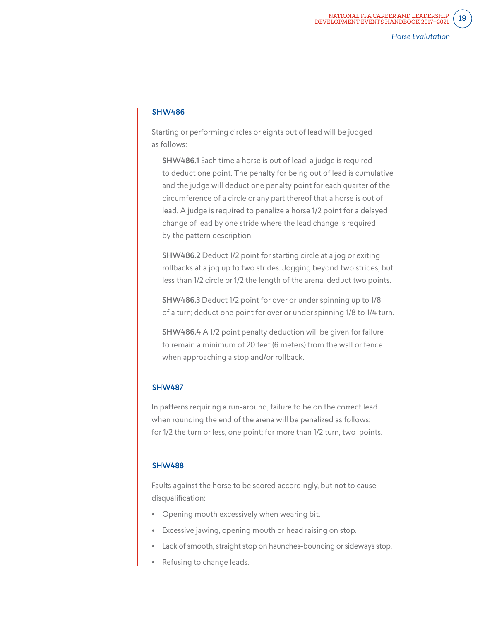#### SHW486

Starting or performing circles or eights out of lead will be judged as follows:

SHW486.1 Each time a horse is out of lead, a judge is required to deduct one point. The penalty for being out of lead is cumulative and the judge will deduct one penalty point for each quarter of the circumference of a circle or any part thereof that a horse is out of lead. A judge is required to penalize a horse 1/2 point for a delayed change of lead by one stride where the lead change is required by the pattern description.

SHW486.2 Deduct 1/2 point for starting circle at a jog or exiting rollbacks at a jog up to two strides. Jogging beyond two strides, but less than 1/2 circle or 1/2 the length of the arena, deduct two points.

SHW486.3 Deduct 1/2 point for over or under spinning up to 1/8 of a turn; deduct one point for over or under spinning 1/8 to 1/4 turn.

SHW486.4 A 1/2 point penalty deduction will be given for failure to remain a minimum of 20 feet (6 meters) from the wall or fence when approaching a stop and/or rollback.

#### SHW487

In patterns requiring a run-around, failure to be on the correct lead when rounding the end of the arena will be penalized as follows: for 1/2 the turn or less, one point; for more than 1/2 turn, two points.

#### SHW488

Faults against the horse to be scored accordingly, but not to cause disqualification:

- Opening mouth excessively when wearing bit.
- Excessive jawing, opening mouth or head raising on stop.
- Lack of smooth, straight stop on haunches-bouncing or sideways stop.
- Refusing to change leads.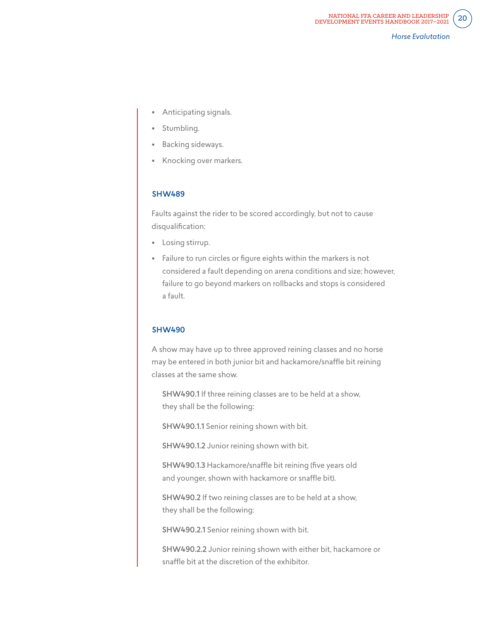- Anticipating signals.
- Stumbling.
- Backing sideways.
- Knocking over markers.

## SHW489

Faults against the rider to be scored accordingly, but not to cause disqualification:

- Losing stirrup.
- Failure to run circles or figure eights within the markers is not considered a fault depending on arena conditions and size; however, failure to go beyond markers on rollbacks and stops is considered a fault.

#### SHW490

A show may have up to three approved reining classes and no horse may be entered in both junior bit and hackamore/snaffle bit reining classes at the same show.

SHW490.1 If three reining classes are to be held at a show, they shall be the following:

SHW490.1.1 Senior reining shown with bit.

SHW490.1.2 Junior reining shown with bit.

SHW490.1.3 Hackamore/snaffle bit reining (five years old and younger, shown with hackamore or snaffle bit).

SHW490.2 If two reining classes are to be held at a show, they shall be the following:

SHW490.2.1 Senior reining shown with bit.

SHW490.2.2 Junior reining shown with either bit, hackamore or snaffle bit at the discretion of the exhibitor.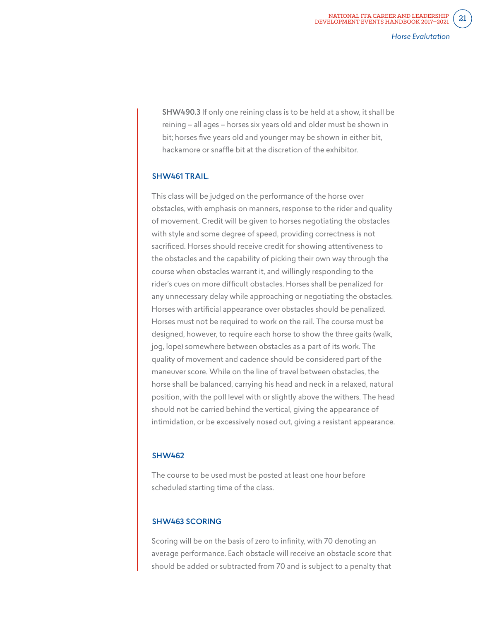SHW490.3 If only one reining class is to be held at a show, it shall be reining – all ages – horses six years old and older must be shown in bit; horses five years old and younger may be shown in either bit, hackamore or snaffle bit at the discretion of the exhibitor.

#### SHW461 TRAIL.

This class will be judged on the performance of the horse over obstacles, with emphasis on manners, response to the rider and quality of movement. Credit will be given to horses negotiating the obstacles with style and some degree of speed, providing correctness is not sacrificed. Horses should receive credit for showing attentiveness to the obstacles and the capability of picking their own way through the course when obstacles warrant it, and willingly responding to the rider's cues on more difficult obstacles. Horses shall be penalized for any unnecessary delay while approaching or negotiating the obstacles. Horses with artificial appearance over obstacles should be penalized. Horses must not be required to work on the rail. The course must be designed, however, to require each horse to show the three gaits (walk, jog, lope) somewhere between obstacles as a part of its work. The quality of movement and cadence should be considered part of the maneuver score. While on the line of travel between obstacles, the horse shall be balanced, carrying his head and neck in a relaxed, natural position, with the poll level with or slightly above the withers. The head should not be carried behind the vertical, giving the appearance of intimidation, or be excessively nosed out, giving a resistant appearance.

#### SHW462

The course to be used must be posted at least one hour before scheduled starting time of the class.

#### SHW463 SCORING

Scoring will be on the basis of zero to infinity, with 70 denoting an average performance. Each obstacle will receive an obstacle score that should be added or subtracted from 70 and is subject to a penalty that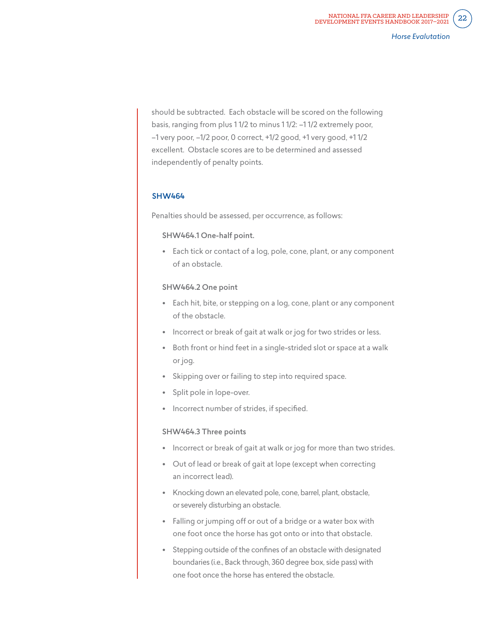should be subtracted. Each obstacle will be scored on the following basis, ranging from plus 1 1/2 to minus 1 1/2: –1 1/2 extremely poor, –1 very poor, –1/2 poor, 0 correct, +1/2 good, +1 very good, +1 1/2 excellent. Obstacle scores are to be determined and assessed independently of penalty points.

#### SHW464

Penalties should be assessed, per occurrence, as follows:

#### SHW464.1 One-half point.

• Each tick or contact of a log, pole, cone, plant, or any component of an obstacle.

#### SHW464.2 One point

- Each hit, bite, or stepping on a log, cone, plant or any component of the obstacle.
- Incorrect or break of gait at walk or jog for two strides or less.
- Both front or hind feet in a single-strided slot or space at a walk or jog.
- Skipping over or failing to step into required space.
- Split pole in lope-over.
- Incorrect number of strides, if specified.

#### SHW464.3 Three points

- Incorrect or break of gait at walk or jog for more than two strides.
- Out of lead or break of gait at lope (except when correcting an incorrect lead).
- Knocking down an elevated pole, cone, barrel, plant, obstacle, or severely disturbing an obstacle.
- Falling or jumping off or out of a bridge or a water box with one foot once the horse has got onto or into that obstacle.
- Stepping outside of the confines of an obstacle with designated boundaries (i.e., Back through, 360 degree box, side pass) with one foot once the horse has entered the obstacle.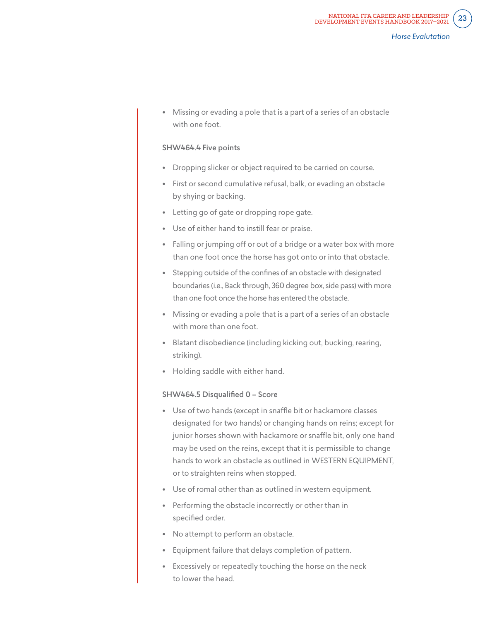• Missing or evading a pole that is a part of a series of an obstacle with one foot.

#### SHW464.4 Five points

- Dropping slicker or object required to be carried on course.
- First or second cumulative refusal, balk, or evading an obstacle by shying or backing.
- Letting go of gate or dropping rope gate.
- Use of either hand to instill fear or praise.
- Falling or jumping off or out of a bridge or a water box with more than one foot once the horse has got onto or into that obstacle.
- Stepping outside of the confines of an obstacle with designated boundaries (i.e., Back through, 360 degree box, side pass) with more than one foot once the horse has entered the obstacle.
- Missing or evading a pole that is a part of a series of an obstacle with more than one foot.
- Blatant disobedience (including kicking out, bucking, rearing, striking).
- Holding saddle with either hand.

#### SHW464.5 Disqualified 0 – Score

- Use of two hands (except in snaffle bit or hackamore classes designated for two hands) or changing hands on reins; except for junior horses shown with hackamore or snaffle bit, only one hand may be used on the reins, except that it is permissible to change hands to work an obstacle as outlined in WESTERN EQUIPMENT, or to straighten reins when stopped.
- Use of romal other than as outlined in western equipment.
- Performing the obstacle incorrectly or other than in specified order.
- No attempt to perform an obstacle.
- Equipment failure that delays completion of pattern.
- Excessively or repeatedly touching the horse on the neck to lower the head.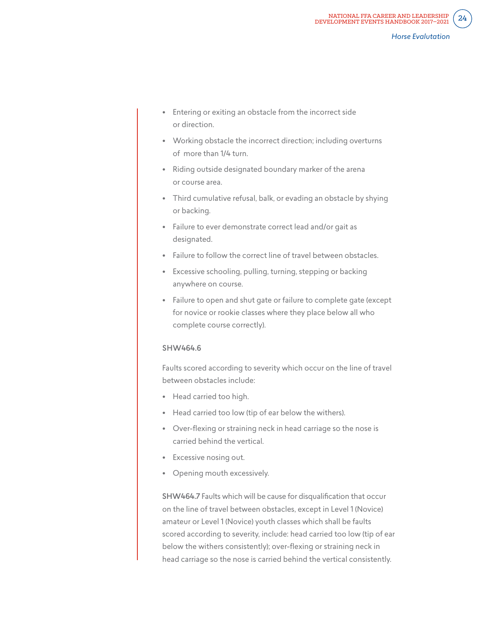- Entering or exiting an obstacle from the incorrect side or direction.
- Working obstacle the incorrect direction; including overturns of more than 1/4 turn.
- Riding outside designated boundary marker of the arena or course area.
- Third cumulative refusal, balk, or evading an obstacle by shying or backing.
- Failure to ever demonstrate correct lead and/or gait as designated.
- Failure to follow the correct line of travel between obstacles.
- Excessive schooling, pulling, turning, stepping or backing anywhere on course.
- Failure to open and shut gate or failure to complete gate (except for novice or rookie classes where they place below all who complete course correctly).

## SHW464.6

Faults scored according to severity which occur on the line of travel between obstacles include:

- Head carried too high.
- Head carried too low (tip of ear below the withers).
- Over-flexing or straining neck in head carriage so the nose is carried behind the vertical.
- Excessive nosing out.
- Opening mouth excessively.

SHW464.7 Faults which will be cause for disqualification that occur on the line of travel between obstacles, except in Level 1 (Novice) amateur or Level 1 (Novice) youth classes which shall be faults scored according to severity, include: head carried too low (tip of ear below the withers consistently); over-flexing or straining neck in head carriage so the nose is carried behind the vertical consistently.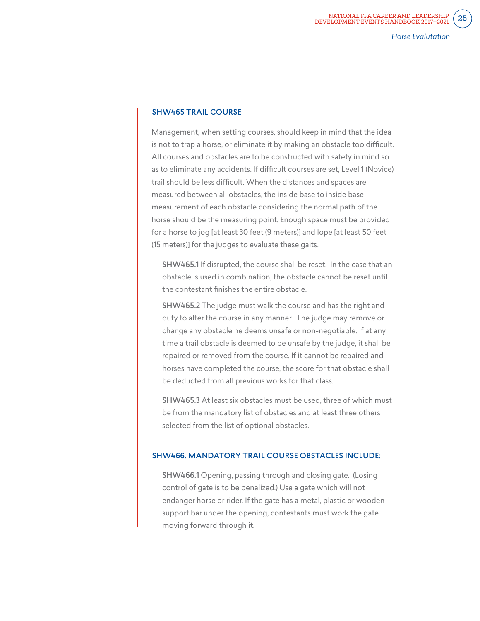#### SHW465 TRAIL COURSE

Management, when setting courses, should keep in mind that the idea is not to trap a horse, or eliminate it by making an obstacle too difficult. All courses and obstacles are to be constructed with safety in mind so as to eliminate any accidents. If difficult courses are set, Level 1 (Novice) trail should be less difficult. When the distances and spaces are measured between all obstacles, the inside base to inside base measurement of each obstacle considering the normal path of the horse should be the measuring point. Enough space must be provided for a horse to jog [at least 30 feet (9 meters)] and lope [at least 50 feet (15 meters)] for the judges to evaluate these gaits.

SHW465.1 If disrupted, the course shall be reset. In the case that an obstacle is used in combination, the obstacle cannot be reset until the contestant finishes the entire obstacle.

SHW465.2 The judge must walk the course and has the right and duty to alter the course in any manner. The judge may remove or change any obstacle he deems unsafe or non-negotiable. If at any time a trail obstacle is deemed to be unsafe by the judge, it shall be repaired or removed from the course. If it cannot be repaired and horses have completed the course, the score for that obstacle shall be deducted from all previous works for that class.

SHW465.3 At least six obstacles must be used, three of which must be from the mandatory list of obstacles and at least three others selected from the list of optional obstacles.

#### SHW466. MANDATORY TRAIL COURSE OBSTACLES INCLUDE:

SHW466.1 Opening, passing through and closing gate. (Losing control of gate is to be penalized.) Use a gate which will not endanger horse or rider. If the gate has a metal, plastic or wooden support bar under the opening, contestants must work the gate moving forward through it.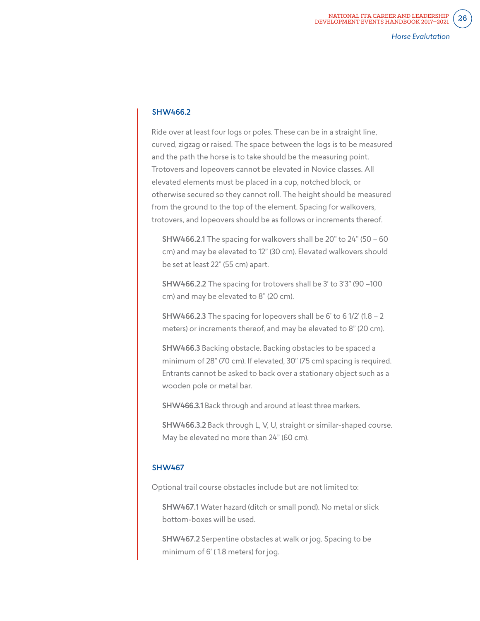#### SHW466.2

Ride over at least four logs or poles. These can be in a straight line, curved, zigzag or raised. The space between the logs is to be measured and the path the horse is to take should be the measuring point. Trotovers and lopeovers cannot be elevated in Novice classes. All elevated elements must be placed in a cup, notched block, or otherwise secured so they cannot roll. The height should be measured from the ground to the top of the element. Spacing for walkovers, trotovers, and lopeovers should be as follows or increments thereof.

SHW466.2.1 The spacing for walkovers shall be 20" to 24" (50 – 60 cm) and may be elevated to 12" (30 cm). Elevated walkovers should be set at least 22" (55 cm) apart.

SHW466.2.2 The spacing for trotovers shall be 3' to 3'3" (90 –100 cm) and may be elevated to 8" (20 cm).

**SHW466.2.3** The spacing for lopeovers shall be 6' to 6 1/2' (1.8  $-$  2) meters) or increments thereof, and may be elevated to 8" (20 cm).

SHW466.3 Backing obstacle. Backing obstacles to be spaced a minimum of 28" (70 cm). If elevated, 30" (75 cm) spacing is required. Entrants cannot be asked to back over a stationary object such as a wooden pole or metal bar.

SHW466.3.1 Back through and around at least three markers.

SHW466.3.2 Back through L, V, U, straight or similar-shaped course. May be elevated no more than 24" (60 cm).

#### SHW467

Optional trail course obstacles include but are not limited to:

SHW467.1 Water hazard (ditch or small pond). No metal or slick bottom-boxes will be used.

SHW467.2 Serpentine obstacles at walk or jog. Spacing to be minimum of 6' ( 1.8 meters) for jog.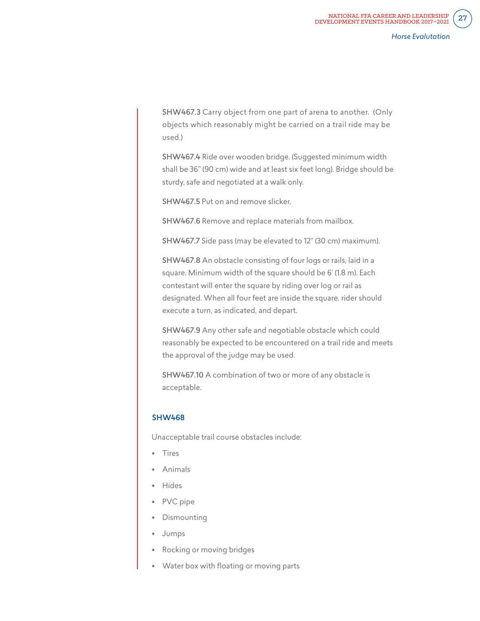SHW467.3 Carry object from one part of arena to another. (Only objects which reasonably might be carried on a trail ride may be used.)

SHW467.4 Ride over wooden bridge. (Suggested minimum width shall be 36" (90 cm) wide and at least six feet long). Bridge should be sturdy, safe and negotiated at a walk only.

SHW467.5 Put on and remove slicker.

SHW467.6 Remove and replace materials from mailbox.

SHW467.7 Side pass (may be elevated to 12" (30 cm) maximum).

SHW467.8 An obstacle consisting of four logs or rails, laid in a square. Minimum width of the square should be 6' (1.8 m). Each contestant will enter the square by riding over log or rail as designated. When all four feet are inside the square, rider should execute a turn, as indicated, and depart.

SHW467.9 Any other safe and negotiable obstacle which could reasonably be expected to be encountered on a trail ride and meets the approval of the judge may be used.

SHW467.10 A combination of two or more of any obstacle is acceptable.

## SHW468

Unacceptable trail course obstacles include:

- Tires
- Animals
- Hides
- PVC pipe
- **Dismounting**
- Jumps
- Rocking or moving bridges
- Water box with floating or moving parts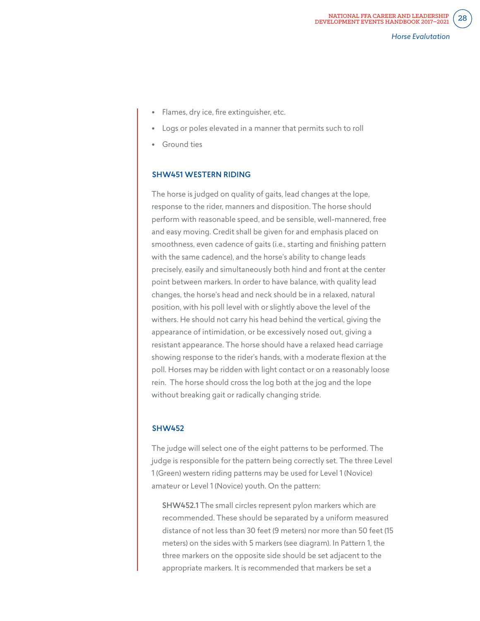- Flames, dry ice, fire extinguisher, etc.
- Logs or poles elevated in a manner that permits such to roll
- **Ground ties**

#### SHW451 WESTERN RIDING

The horse is judged on quality of gaits, lead changes at the lope, response to the rider, manners and disposition. The horse should perform with reasonable speed, and be sensible, well-mannered, free and easy moving. Credit shall be given for and emphasis placed on smoothness, even cadence of gaits (i.e., starting and finishing pattern with the same cadence), and the horse's ability to change leads precisely, easily and simultaneously both hind and front at the center point between markers. In order to have balance, with quality lead changes, the horse's head and neck should be in a relaxed, natural position, with his poll level with or slightly above the level of the withers. He should not carry his head behind the vertical, giving the appearance of intimidation, or be excessively nosed out, giving a resistant appearance. The horse should have a relaxed head carriage showing response to the rider's hands, with a moderate flexion at the poll. Horses may be ridden with light contact or on a reasonably loose rein. The horse should cross the log both at the jog and the lope without breaking gait or radically changing stride.

#### SHW452

The judge will select one of the eight patterns to be performed. The judge is responsible for the pattern being correctly set. The three Level 1 (Green) western riding patterns may be used for Level 1 (Novice) amateur or Level 1 (Novice) youth. On the pattern:

SHW452.1 The small circles represent pylon markers which are recommended. These should be separated by a uniform measured distance of not less than 30 feet (9 meters) nor more than 50 feet (15 meters) on the sides with 5 markers (see diagram). In Pattern 1, the three markers on the opposite side should be set adjacent to the appropriate markers. It is recommended that markers be set a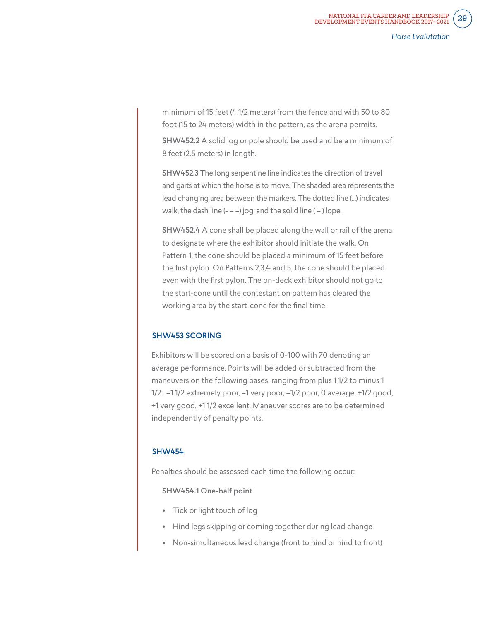minimum of 15 feet (4 1/2 meters) from the fence and with 50 to 80 foot (15 to 24 meters) width in the pattern, as the arena permits.

SHW452.2 A solid log or pole should be used and be a minimum of 8 feet (2.5 meters) in length.

SHW452.3 The long serpentine line indicates the direction of travel and gaits at which the horse is to move. The shaded area represents the lead changing area between the markers. The dotted line (...) indicates walk, the dash line  $(- - -)$  jog, and the solid line  $(-)$  lope.

SHW452.4 A cone shall be placed along the wall or rail of the arena to designate where the exhibitor should initiate the walk. On Pattern 1, the cone should be placed a minimum of 15 feet before the first pylon. On Patterns 2,3,4 and 5, the cone should be placed even with the first pylon. The on-deck exhibitor should not go to the start-cone until the contestant on pattern has cleared the working area by the start-cone for the final time.

#### SHW453 SCORING

Exhibitors will be scored on a basis of 0-100 with 70 denoting an average performance. Points will be added or subtracted from the maneuvers on the following bases, ranging from plus 1 1/2 to minus 1 1/2: –1 1/2 extremely poor, –1 very poor, –1/2 poor, 0 average, +1/2 good, +1 very good, +1 1/2 excellent. Maneuver scores are to be determined independently of penalty points.

#### SHW454

Penalties should be assessed each time the following occur:

SHW454.1 One-half point

- Tick or light touch of log
- Hind legs skipping or coming together during lead change
- Non-simultaneous lead change (front to hind or hind to front)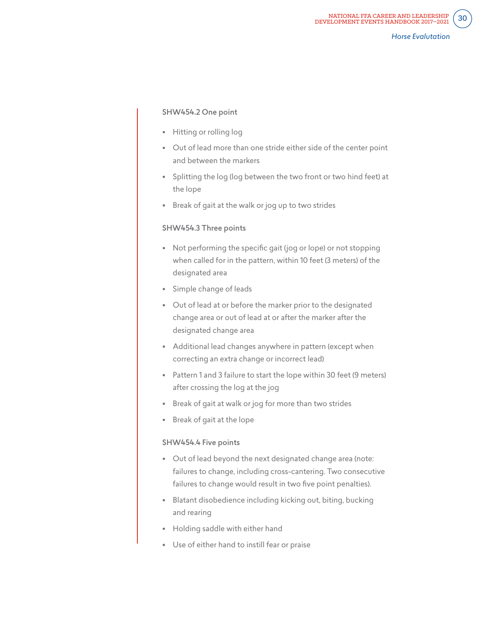#### SHW454.2 One point

- Hitting or rolling log
- Out of lead more than one stride either side of the center point and between the markers
- Splitting the log (log between the two front or two hind feet) at the lope
- Break of gait at the walk or jog up to two strides

#### SHW454.3 Three points

- Not performing the specific gait (jog or lope) or not stopping when called for in the pattern, within 10 feet (3 meters) of the designated area
- Simple change of leads
- Out of lead at or before the marker prior to the designated change area or out of lead at or after the marker after the designated change area
- Additional lead changes anywhere in pattern (except when correcting an extra change or incorrect lead)
- Pattern 1 and 3 failure to start the lope within 30 feet (9 meters) after crossing the log at the jog
- Break of gait at walk or jog for more than two strides
- Break of gait at the lope

#### SHW454.4 Five points

- Out of lead beyond the next designated change area (note: failures to change, including cross-cantering. Two consecutive failures to change would result in two five point penalties).
- Blatant disobedience including kicking out, biting, bucking and rearing
- Holding saddle with either hand
- Use of either hand to instill fear or praise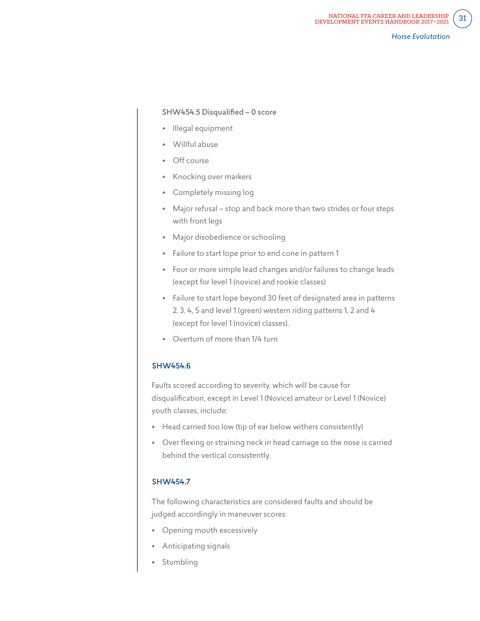#### SHW454.5 Disqualified – 0 score

- Illegal equipment
- Willful abuse
- Off course
- Knocking over markers
- Completely missing log
- Major refusal stop and back more than two strides or four steps with front legs
- Major disobedience or schooling
- Failure to start lope prior to end cone in pattern 1
- Four or more simple lead changes and/or failures to change leads (except for level 1 (novice) and rookie classes)
- Failure to start lope beyond 30 feet of designated area in patterns 2, 3, 4, 5 and level 1 (green) western riding patterns 1, 2 and 4 (except for level 1 (novice) classes).
- Overturn of more than 1/4 turn

#### SHW454.6

Faults scored according to severity, which will be cause for disqualification, except in Level 1 (Novice) amateur or Level 1 (Novice) youth classes, include:

- Head carried too low (tip of ear below withers consistently)
- Over flexing or straining neck in head carriage so the nose is carried behind the vertical consistently.

#### SHW454.7

The following characteristics are considered faults and should be judged accordingly in maneuver scores:

- Opening mouth excessively
- Anticipating signals
- Stumbling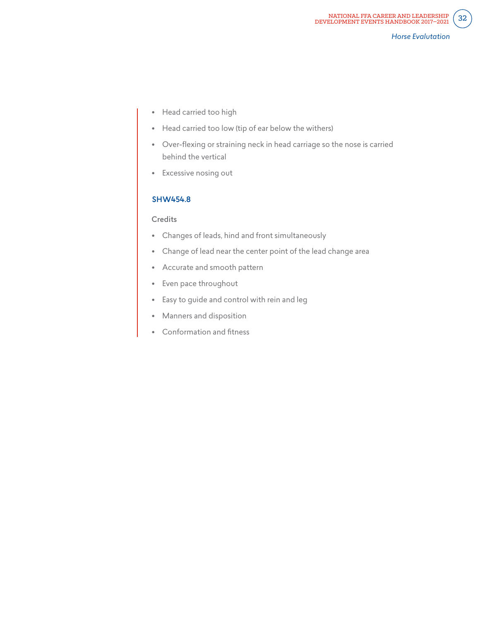- Head carried too high
- Head carried too low (tip of ear below the withers)
- Over-flexing or straining neck in head carriage so the nose is carried behind the vertical
- Excessive nosing out

## SHW454.8

#### **Credits**

- Changes of leads, hind and front simultaneously
- Change of lead near the center point of the lead change area
- Accurate and smooth pattern
- Even pace throughout
- Easy to guide and control with rein and leg
- Manners and disposition
- Conformation and fitness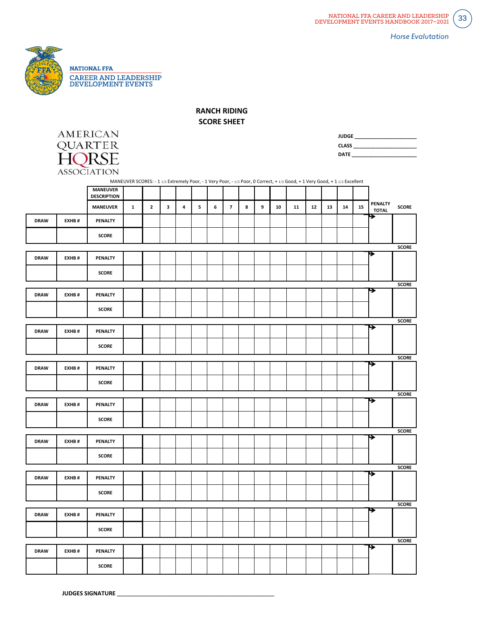

**RANCH RIDING**

**SCORE SHEET** 

| <b>AMERICAN</b>    |
|--------------------|
| OUARTER            |
| HORSE              |
| <b>ASSOCIATION</b> |

| <b>JUDGE</b> |  |
|--------------|--|
| <b>CLASS</b> |  |
| <b>DATE</b>  |  |

|             | $\cdots$ |                                       | MANEUVER SCORES: - 1 1/2 Extremely Poor, - 1 Very Poor, - 1/2 Poor, 0 Correct, + 1/2 Good, + 1 Very Good, + 1 1/2 Excellent |              |   |                         |   |   |                |   |   |    |    |    |    |    |    |                         |              |
|-------------|----------|---------------------------------------|-----------------------------------------------------------------------------------------------------------------------------|--------------|---|-------------------------|---|---|----------------|---|---|----|----|----|----|----|----|-------------------------|--------------|
|             |          | <b>MANEUVER</b><br><b>DESCRIPTION</b> |                                                                                                                             |              |   |                         |   |   |                |   |   |    |    |    |    |    |    |                         |              |
|             |          | <b>MANEUVER</b>                       | $\mathbf{1}$                                                                                                                | $\mathbf{2}$ | 3 | $\overline{\mathbf{4}}$ | 5 | 6 | $\overline{7}$ | 8 | 9 | 10 | 11 | 12 | 13 | 14 | 15 | PENALTY<br><b>TOTAL</b> | <b>SCORE</b> |
| <b>DRAW</b> | EXHB#    | PENALTY                               |                                                                                                                             |              |   |                         |   |   |                |   |   |    |    |    |    |    |    | <del>⋗</del>            |              |
|             |          | <b>SCORE</b>                          |                                                                                                                             |              |   |                         |   |   |                |   |   |    |    |    |    |    |    |                         |              |
|             |          |                                       |                                                                                                                             |              |   |                         |   |   |                |   |   |    |    |    |    |    |    |                         | <b>SCORE</b> |
| <b>DRAW</b> | EXHB#    | <b>PENALTY</b>                        |                                                                                                                             |              |   |                         |   |   |                |   |   |    |    |    |    |    |    | ▶                       |              |
|             |          | <b>SCORE</b>                          |                                                                                                                             |              |   |                         |   |   |                |   |   |    |    |    |    |    |    |                         |              |
|             |          |                                       |                                                                                                                             |              |   |                         |   |   |                |   |   |    |    |    |    |    |    |                         | <b>SCORE</b> |
| <b>DRAW</b> | EXHB#    | PENALTY                               |                                                                                                                             |              |   |                         |   |   |                |   |   |    |    |    |    |    |    | ≯                       |              |
|             |          | <b>SCORE</b>                          |                                                                                                                             |              |   |                         |   |   |                |   |   |    |    |    |    |    |    |                         |              |
|             |          |                                       |                                                                                                                             |              |   |                         |   |   |                |   |   |    |    |    |    |    |    |                         | <b>SCORE</b> |
| <b>DRAW</b> | EXHB#    | <b>PENALTY</b>                        |                                                                                                                             |              |   |                         |   |   |                |   |   |    |    |    |    |    |    | ⋤                       |              |
|             |          | <b>SCORE</b>                          |                                                                                                                             |              |   |                         |   |   |                |   |   |    |    |    |    |    |    |                         |              |
|             |          |                                       |                                                                                                                             |              |   |                         |   |   |                |   |   |    |    |    |    |    |    |                         | <b>SCORE</b> |
| <b>DRAW</b> | EXHB#    | PENALTY                               |                                                                                                                             |              |   |                         |   |   |                |   |   |    |    |    |    |    |    | ⋟                       |              |
|             |          | <b>SCORE</b>                          |                                                                                                                             |              |   |                         |   |   |                |   |   |    |    |    |    |    |    |                         |              |
|             |          |                                       |                                                                                                                             |              |   |                         |   |   |                |   |   |    |    |    |    |    |    |                         | <b>SCORE</b> |
| <b>DRAW</b> | EXHB#    | PENALTY                               |                                                                                                                             |              |   |                         |   |   |                |   |   |    |    |    |    |    |    | ⋤                       |              |
|             |          | <b>SCORE</b>                          |                                                                                                                             |              |   |                         |   |   |                |   |   |    |    |    |    |    |    |                         |              |
|             |          |                                       |                                                                                                                             |              |   |                         |   |   |                |   |   |    |    |    |    |    |    |                         | <b>SCORE</b> |
| <b>DRAW</b> | EXHB#    | <b>PENALTY</b>                        |                                                                                                                             |              |   |                         |   |   |                |   |   |    |    |    |    |    |    | →                       |              |
|             |          | <b>SCORE</b>                          |                                                                                                                             |              |   |                         |   |   |                |   |   |    |    |    |    |    |    |                         |              |
|             |          |                                       |                                                                                                                             |              |   |                         |   |   |                |   |   |    |    |    |    |    |    |                         | <b>SCORE</b> |
| <b>DRAW</b> | EXHB#    | PENALTY                               |                                                                                                                             |              |   |                         |   |   |                |   |   |    |    |    |    |    |    | ⋟                       |              |
|             |          | <b>SCORE</b>                          |                                                                                                                             |              |   |                         |   |   |                |   |   |    |    |    |    |    |    |                         |              |
|             |          |                                       |                                                                                                                             |              |   |                         |   |   |                |   |   |    |    |    |    |    |    |                         | <b>SCORE</b> |
| <b>DRAW</b> | EXHB#    | <b>PENALTY</b>                        |                                                                                                                             |              |   |                         |   |   |                |   |   |    |    |    |    |    |    | →                       |              |
|             |          | <b>SCORE</b>                          |                                                                                                                             |              |   |                         |   |   |                |   |   |    |    |    |    |    |    |                         |              |
|             |          |                                       |                                                                                                                             |              |   |                         |   |   |                |   |   |    |    |    |    |    |    |                         | <b>SCORE</b> |
| <b>DRAW</b> | EXHB#    | PENALTY                               |                                                                                                                             |              |   |                         |   |   |                |   |   |    |    |    |    |    |    |                         |              |
|             |          | <b>SCORE</b>                          |                                                                                                                             |              |   |                         |   |   |                |   |   |    |    |    |    |    |    |                         |              |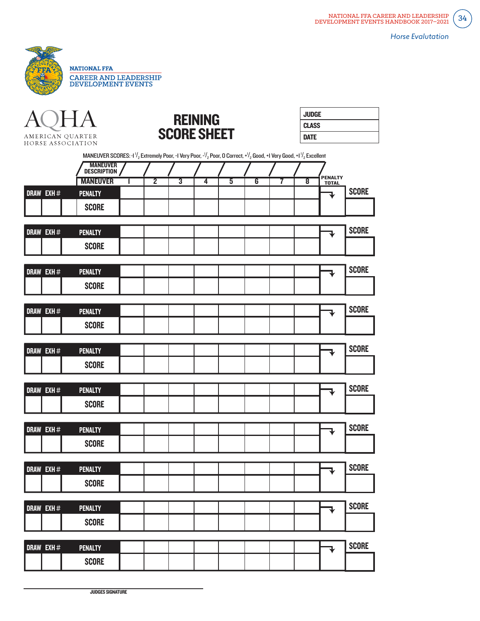





| <b>JUDGE</b> |  |
|--------------|--|
| <b>CLASS</b> |  |
| <b>DATE</b>  |  |

|                  | MANEUVER SCORES: 1 <sup>1</sup> / <sub>2</sub> Extremely Poor, -1 Very Poor, - <sup>1</sup> / <sub>2</sub> Poor, O Correct, + <sup>1</sup> / <sub>2</sub> Good, +1 Very Good, +1 <sup>1</sup> / <sub>2</sub> Excellent |   |                |                             |   |                |                         |   |                    |                                |              |
|------------------|------------------------------------------------------------------------------------------------------------------------------------------------------------------------------------------------------------------------|---|----------------|-----------------------------|---|----------------|-------------------------|---|--------------------|--------------------------------|--------------|
|                  | <b>MANEUVER</b><br>Description                                                                                                                                                                                         |   |                |                             |   |                |                         |   |                    |                                |              |
|                  | <b>MANEUVER</b>                                                                                                                                                                                                        | ı | $\overline{2}$ | $\overline{\boldsymbol{3}}$ | 4 | $\overline{5}$ | $\overline{\mathbf{6}}$ | 7 | $\overline{\bf 8}$ | <b>PENALTY</b><br><b>TOTAL</b> |              |
| DRAW EXH#        | <b>PENALTY</b>                                                                                                                                                                                                         |   |                |                             |   |                |                         |   |                    | ₹                              | <b>SCORE</b> |
|                  | <b>SCORE</b>                                                                                                                                                                                                           |   |                |                             |   |                |                         |   |                    |                                |              |
| DRAW EXH#        | <b>PENALTY</b>                                                                                                                                                                                                         |   |                |                             |   |                |                         |   |                    | ₹                              | <b>SCORE</b> |
|                  | <b>SCORE</b>                                                                                                                                                                                                           |   |                |                             |   |                |                         |   |                    |                                |              |
|                  |                                                                                                                                                                                                                        |   |                |                             |   |                |                         |   |                    |                                | <b>SCORE</b> |
| DRAW EXH#        | <b>PENALTY</b>                                                                                                                                                                                                         |   |                |                             |   |                |                         |   |                    | ₹                              |              |
|                  | <b>SCORE</b>                                                                                                                                                                                                           |   |                |                             |   |                |                         |   |                    |                                |              |
| <b>DRAW EXH#</b> | <b>PENALTY</b>                                                                                                                                                                                                         |   |                |                             |   |                |                         |   |                    | ₹                              | <b>SCORE</b> |
|                  | <b>SCORE</b>                                                                                                                                                                                                           |   |                |                             |   |                |                         |   |                    |                                |              |
|                  |                                                                                                                                                                                                                        |   |                |                             |   |                |                         |   |                    |                                |              |
| DRAW EXH#        | <b>PENALTY</b>                                                                                                                                                                                                         |   |                |                             |   |                |                         |   |                    | ₹                              | <b>SCORE</b> |
|                  | <b>SCORE</b>                                                                                                                                                                                                           |   |                |                             |   |                |                         |   |                    |                                |              |
| DRAW EXH#        | <b>PENALTY</b>                                                                                                                                                                                                         |   |                |                             |   |                |                         |   |                    | ₹                              | <b>SCORE</b> |
|                  | <b>SCORE</b>                                                                                                                                                                                                           |   |                |                             |   |                |                         |   |                    |                                |              |
|                  |                                                                                                                                                                                                                        |   |                |                             |   |                |                         |   |                    |                                |              |
| DRAW EXH#        | <b>PENALTY</b>                                                                                                                                                                                                         |   |                |                             |   |                |                         |   |                    | $\ddagger$                     | <b>SCORE</b> |
|                  | <b>SCORE</b>                                                                                                                                                                                                           |   |                |                             |   |                |                         |   |                    |                                |              |
|                  |                                                                                                                                                                                                                        |   |                |                             |   |                |                         |   |                    |                                |              |
| DRAW EXH#        | <b>PENALTY</b>                                                                                                                                                                                                         |   |                |                             |   |                |                         |   |                    | ₹                              | <b>SCORE</b> |
|                  | <b>SCORE</b>                                                                                                                                                                                                           |   |                |                             |   |                |                         |   |                    |                                |              |
| DRAW EXH #       | <b>PENALTY</b>                                                                                                                                                                                                         |   |                |                             |   |                |                         |   |                    | ₹                              | <b>SCORE</b> |
|                  | <b>SCORE</b>                                                                                                                                                                                                           |   |                |                             |   |                |                         |   |                    |                                |              |
|                  |                                                                                                                                                                                                                        |   |                |                             |   |                |                         |   |                    |                                |              |
| DRAW EXH #       | <b>PENALTY</b>                                                                                                                                                                                                         |   |                |                             |   |                |                         |   |                    |                                | <b>SCORE</b> |
|                  | <b>SCORE</b>                                                                                                                                                                                                           |   |                |                             |   |                |                         |   |                    |                                |              |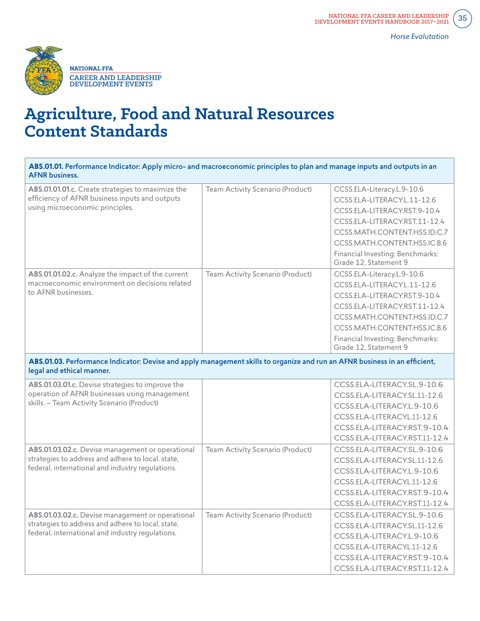

| ABS.01.01. Performance Indicator: Apply micro- and macroeconomic principles to plan and manage inputs and outputs in an<br><b>AFNR</b> business.          |                                  |                                                                                                                                                                                                                                                         |
|-----------------------------------------------------------------------------------------------------------------------------------------------------------|----------------------------------|---------------------------------------------------------------------------------------------------------------------------------------------------------------------------------------------------------------------------------------------------------|
| ABS.01.01.01.c. Create strategies to maximize the<br>efficiency of AFNR business inputs and outputs<br>using microeconomic principles.                    | Team Activity Scenario (Product) | CCSS.ELA-Literacy.L.9-10.6<br>CCSS.ELA-LITERACY.L.11-12.6<br>CCSS.ELA-LITERACY.RST.9-10.4<br>CCSS.ELA-LITERACY.RST.11-12.4<br>CCSS.MATH.CONTENT.HSS.ID.C.7<br>CCSS.MATH.CONTENT.HSS.IC.B.6<br>Financial Investing: Benchmarks:<br>Grade 12, Statement 9 |
| ABS.01.01.02.c. Analyze the impact of the current<br>macroeconomic environment on decisions related<br>to AFNR businesses.                                | Team Activity Scenario (Product) | CCSS.ELA-Literacy.L.9-10.6<br>CCSS.ELA-LITERACY.L.11-12.6<br>CCSS.ELA-LITERACY.RST.9-10.4<br>CCSS.ELA-LITERACY.RST.11-12.4<br>CCSS.MATH.CONTENT.HSS.ID.C.7<br>CCSS.MATH.CONTENT.HSS.IC.B.6<br>Financial Investing: Benchmarks:<br>Grade 12, Statement 9 |
| ABS.01.03. Performance Indicator: Devise and apply management skills to organize and run an AFNR business in an efficient,<br>legal and ethical manner.   |                                  |                                                                                                                                                                                                                                                         |
| ABS.01.03.01.c. Devise strategies to improve the<br>operation of AFNR businesses using management<br>skills. - Team Activity Scenario (Product)           |                                  | CCSS.ELA-LITERACY.SL.9-10.6<br>CCSS.ELA-LITERACY.SL.11-12.6<br>CCSS.ELA-LITERACY.L.9-10.6<br>CCSS.ELA-LITERACY.L.11-12.6<br>CCSS.ELA-LITERACY.RST.9-10.4<br>CCSS.ELA-LITERACY.RST.11-12.4                                                               |
| ABS.01.03.02.c. Devise management or operational<br>strategies to address and adhere to local, state,<br>federal, international and industry regulations. | Team Activity Scenario (Product) | CCSS.ELA-LITERACY.SL.9-10.6<br>CCSS.ELA-LITERACY.SL.11-12.6<br>CCSS.ELA-LITERACY.L.9-10.6<br>CCSS.ELA-LITERACY.L.11-12.6<br>CCSS.ELA-LITERACY.RST.9-10.4<br>CCSS.ELA-LITERACY.RST.11-12.4                                                               |
| ABS.01.03.02.c. Devise management or operational<br>strategies to address and adhere to local, state,<br>federal, international and industry regulations. | Team Activity Scenario (Product) | CCSS.ELA-LITERACY.SL.9-10.6<br>CCSS.ELA-LITERACY.SL.11-12.6<br>CCSS.ELA-LITERACY.L.9-10.6<br>CCSS.ELA-LITERACY.L.11-12.6<br>CCSS.ELA-LITERACY.RST.9-10.4<br>CCSS.ELA-LITERACY.RST.11-12.4                                                               |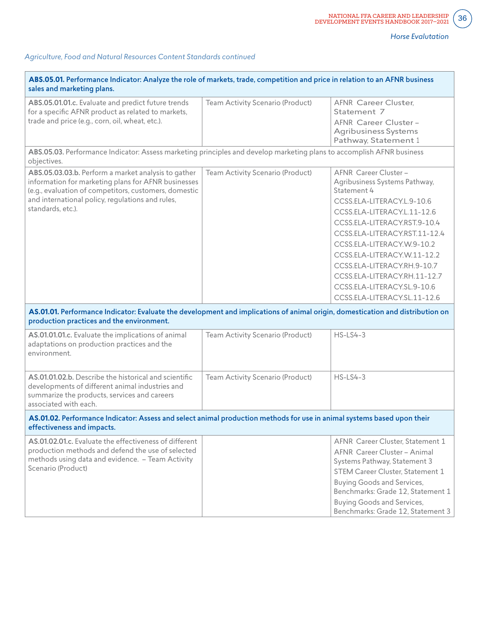$\left[36\right]$ 

٦

| ABS.05.01. Performance Indicator: Analyze the role of markets, trade, competition and price in relation to an AFNR business<br>sales and marketing plans.                                                                                    |                                  |                                                                                                                                                                                                                                                                                                                                                                                                |  |  |  |  |  |
|----------------------------------------------------------------------------------------------------------------------------------------------------------------------------------------------------------------------------------------------|----------------------------------|------------------------------------------------------------------------------------------------------------------------------------------------------------------------------------------------------------------------------------------------------------------------------------------------------------------------------------------------------------------------------------------------|--|--|--|--|--|
| ABS.05.01.01.c. Evaluate and predict future trends<br>for a specific AFNR product as related to markets,<br>trade and price (e.g., corn, oil, wheat, etc.).                                                                                  | Team Activity Scenario (Product) | AFNR Career Cluster,<br>Statement 7<br>AFNR Career Cluster -<br>Agribusiness Systems<br>Pathway, Statement 1                                                                                                                                                                                                                                                                                   |  |  |  |  |  |
| ABS.05.03. Performance Indicator: Assess marketing principles and develop marketing plans to accomplish AFNR business<br>objectives.                                                                                                         |                                  |                                                                                                                                                                                                                                                                                                                                                                                                |  |  |  |  |  |
| ABS.05.03.03.b. Perform a market analysis to gather<br>information for marketing plans for AFNR businesses<br>(e.g., evaluation of competitors, customers, domestic<br>and international policy, regulations and rules,<br>standards, etc.). | Team Activity Scenario (Product) | AFNR Career Cluster -<br>Agribusiness Systems Pathway,<br>Statement 4<br>CCSS.ELA-LITERACY.L.9-10.6<br>CCSS.ELA-LITERACY.L.11-12.6<br>CCSS.ELA-LITERACY.RST.9-10.4<br>CCSS.ELA-LITERACY.RST.11-12.4<br>CCSS.ELA-LITERACY.W.9-10.2<br>CCSS.ELA-LITERACY.W.11-12.2<br>CCSS.ELA-LITERACY.RH.9-10.7<br>CCSS.ELA-LITERACY.RH.11-12.7<br>CCSS.ELA-LITERACY.SL.9-10.6<br>CCSS.ELA-LITERACY.SL.11-12.6 |  |  |  |  |  |
| AS.01.01. Performance Indicator: Evaluate the development and implications of animal origin, domestication and distribution on<br>production practices and the environment.                                                                  |                                  |                                                                                                                                                                                                                                                                                                                                                                                                |  |  |  |  |  |
| AS.01.01.01.c. Evaluate the implications of animal<br>adaptations on production practices and the<br>environment.                                                                                                                            | Team Activity Scenario (Product) | $HS$ -LS4-3                                                                                                                                                                                                                                                                                                                                                                                    |  |  |  |  |  |
| AS.01.01.02.b. Describe the historical and scientific<br>developments of different animal industries and<br>summarize the products, services and careers<br>associated with each.                                                            | Team Activity Scenario (Product) | $HS$ -LS4-3                                                                                                                                                                                                                                                                                                                                                                                    |  |  |  |  |  |
| AS.01.02. Performance Indicator: Assess and select animal production methods for use in animal systems based upon their<br>effectiveness and impacts.                                                                                        |                                  |                                                                                                                                                                                                                                                                                                                                                                                                |  |  |  |  |  |
| AS.01.02.01.c. Evaluate the effectiveness of different<br>production methods and defend the use of selected<br>methods using data and evidence. - Team Activity<br>Scenario (Product)                                                        |                                  | AFNR Career Cluster, Statement 1<br>AFNR Career Cluster - Animal<br>Systems Pathway, Statement 3<br>STEM Career Cluster, Statement 1<br><b>Buying Goods and Services,</b><br>Benchmarks: Grade 12, Statement 1<br><b>Buying Goods and Services,</b><br>Benchmarks: Grade 12, Statement 3                                                                                                       |  |  |  |  |  |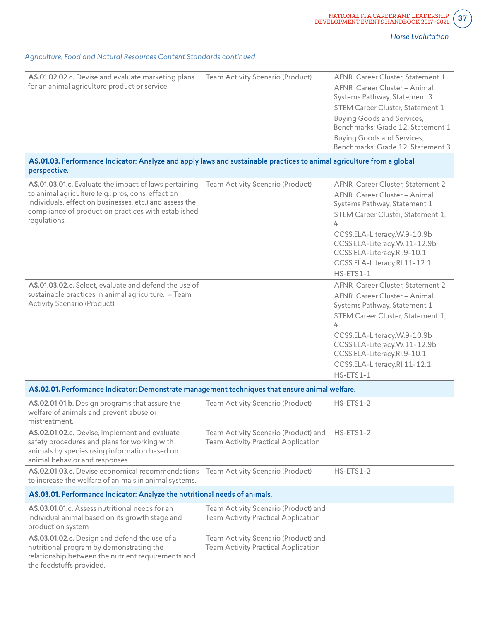# *Agriculture, Food and Natural Resources Content Standards continued*

| AS.01.02.02.c. Devise and evaluate marketing plans<br>for an animal agriculture product or service.                                                                                                                                                                                                    | Team Activity Scenario (Product)                                            | AFNR Career Cluster, Statement 1<br>AFNR Career Cluster - Animal<br>Systems Pathway, Statement 3<br>STEM Career Cluster, Statement 1<br><b>Buying Goods and Services,</b><br>Benchmarks: Grade 12, Statement 1<br><b>Buying Goods and Services,</b><br>Benchmarks: Grade 12, Statement 3                                  |
|--------------------------------------------------------------------------------------------------------------------------------------------------------------------------------------------------------------------------------------------------------------------------------------------------------|-----------------------------------------------------------------------------|---------------------------------------------------------------------------------------------------------------------------------------------------------------------------------------------------------------------------------------------------------------------------------------------------------------------------|
| AS.01.03. Performance Indicator: Analyze and apply laws and sustainable practices to animal agriculture from a global<br>perspective.                                                                                                                                                                  |                                                                             |                                                                                                                                                                                                                                                                                                                           |
| AS.01.03.01.c. Evaluate the impact of laws pertaining<br>to animal agriculture (e.g., pros, cons, effect on<br>individuals, effect on businesses, etc.) and assess the<br>compliance of production practices with established<br>regulations.<br>AS.01.03.02.c. Select, evaluate and defend the use of | Team Activity Scenario (Product)                                            | AFNR Career Cluster, Statement 2<br>AFNR Career Cluster - Animal<br>Systems Pathway, Statement 1<br>STEM Career Cluster, Statement 1,<br>4<br>CCSS.ELA-Literacy.W.9-10.9b<br>CCSS.ELA-Literacy.W.11-12.9b<br>CCSS.ELA-Literacy.RI.9-10.1<br>CCSS.ELA-Literacy.Rl.11-12.1<br>HS-ETS1-1<br>AFNR Career Cluster, Statement 2 |
| sustainable practices in animal agriculture. - Team<br>Activity Scenario (Product)                                                                                                                                                                                                                     |                                                                             | AFNR Career Cluster - Animal<br>Systems Pathway, Statement 1<br>STEM Career Cluster, Statement 1,<br>4<br>CCSS.ELA-Literacy.W.9-10.9b<br>CCSS.ELA-Literacy.W.11-12.9b<br>CCSS.ELA-Literacy.RI.9-10.1<br>CCSS.ELA-Literacy.Rl.11-12.1<br>$HS - ETS1 - 1$                                                                   |
| AS.02.01. Performance Indicator: Demonstrate management techniques that ensure animal welfare.                                                                                                                                                                                                         |                                                                             |                                                                                                                                                                                                                                                                                                                           |
| AS.02.01.01.b. Design programs that assure the<br>welfare of animals and prevent abuse or<br>mistreatment.                                                                                                                                                                                             | Team Activity Scenario (Product)                                            | HS-ETS1-2                                                                                                                                                                                                                                                                                                                 |
| AS.02.01.02.c. Devise, implement and evaluate<br>safety procedures and plans for working with<br>animals by species using information based on<br>animal behavior and responses                                                                                                                        | Team Activity Scenario (Product) and<br>Team Activity Practical Application | HS-ETS1-2                                                                                                                                                                                                                                                                                                                 |
| AS.02.01.03.c. Devise economical recommendations<br>to increase the welfare of animals in animal systems.                                                                                                                                                                                              | Team Activity Scenario (Product)                                            | HS-ETS1-2                                                                                                                                                                                                                                                                                                                 |
| AS.03.01. Performance Indicator: Analyze the nutritional needs of animals.                                                                                                                                                                                                                             |                                                                             |                                                                                                                                                                                                                                                                                                                           |
| AS.03.01.01.c. Assess nutritional needs for an<br>individual animal based on its growth stage and<br>production system                                                                                                                                                                                 | Team Activity Scenario (Product) and<br>Team Activity Practical Application |                                                                                                                                                                                                                                                                                                                           |
| AS.03.01.02.c. Design and defend the use of a<br>nutritional program by demonstrating the<br>relationship between the nutrient requirements and<br>the feedstuffs provided.                                                                                                                            | Team Activity Scenario (Product) and<br>Team Activity Practical Application |                                                                                                                                                                                                                                                                                                                           |

 $\left[37\right]$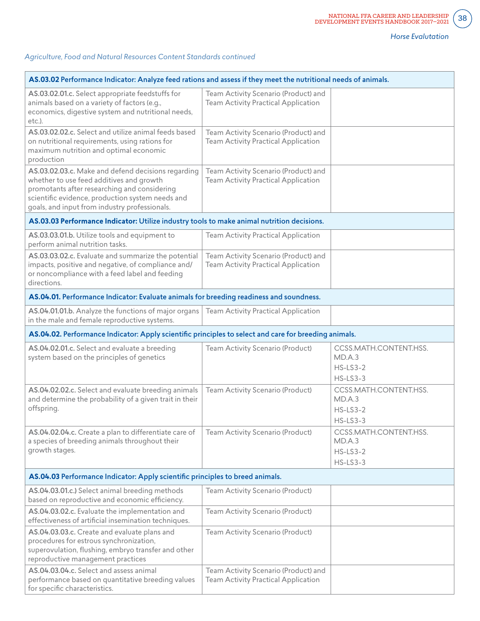$\left(38\right)$ 

| AS.03.02 Performance Indicator: Analyze feed rations and assess if they meet the nutritional needs of animals.                                                                                                                                      |                                                                             |                                                                |  |  |  |  |
|-----------------------------------------------------------------------------------------------------------------------------------------------------------------------------------------------------------------------------------------------------|-----------------------------------------------------------------------------|----------------------------------------------------------------|--|--|--|--|
| AS.03.02.01.c. Select appropriate feedstuffs for<br>animals based on a variety of factors (e.g.,<br>economics, digestive system and nutritional needs,<br>etc.).                                                                                    | Team Activity Scenario (Product) and<br>Team Activity Practical Application |                                                                |  |  |  |  |
| AS.03.02.02.c. Select and utilize animal feeds based<br>on nutritional requirements, using rations for<br>maximum nutrition and optimal economic<br>production                                                                                      | Team Activity Scenario (Product) and<br>Team Activity Practical Application |                                                                |  |  |  |  |
| AS.03.02.03.c. Make and defend decisions regarding<br>whether to use feed additives and growth<br>promotants after researching and considering<br>scientific evidence, production system needs and<br>goals, and input from industry professionals. | Team Activity Scenario (Product) and<br>Team Activity Practical Application |                                                                |  |  |  |  |
| AS.03.03 Performance Indicator: Utilize industry tools to make animal nutrition decisions.                                                                                                                                                          |                                                                             |                                                                |  |  |  |  |
| AS.03.03.01.b. Utilize tools and equipment to<br>perform animal nutrition tasks.                                                                                                                                                                    | Team Activity Practical Application                                         |                                                                |  |  |  |  |
| AS.03.03.02.c. Evaluate and summarize the potential<br>impacts, positive and negative, of compliance and/<br>or noncompliance with a feed label and feeding<br>directions.                                                                          | Team Activity Scenario (Product) and<br>Team Activity Practical Application |                                                                |  |  |  |  |
| AS.04.01. Performance Indicator: Evaluate animals for breeding readiness and soundness.                                                                                                                                                             |                                                                             |                                                                |  |  |  |  |
| AS.04.01.01.b. Analyze the functions of major organs<br>in the male and female reproductive systems.                                                                                                                                                | Team Activity Practical Application                                         |                                                                |  |  |  |  |
| AS.04.02. Performance Indicator: Apply scientific principles to select and care for breeding animals.                                                                                                                                               |                                                                             |                                                                |  |  |  |  |
| AS.04.02.01.c. Select and evaluate a breeding<br>system based on the principles of genetics                                                                                                                                                         | Team Activity Scenario (Product)                                            | CCSS.MATH.CONTENT.HSS.<br>MD.A.3<br>$HS$ -LS3-2<br>$HS$ -LS3-3 |  |  |  |  |
| AS.04.02.02.c. Select and evaluate breeding animals<br>and determine the probability of a given trait in their<br>offspring.                                                                                                                        | Team Activity Scenario (Product)                                            | CCSS.MATH.CONTENT.HSS.<br>MD.A.3<br>$HS$ -LS3-2<br>$HS$ -LS3-3 |  |  |  |  |
| AS.04.02.04.c. Create a plan to differentiate care of<br>a species of breeding animals throughout their<br>growth stages.                                                                                                                           | Team Activity Scenario (Product)                                            | CCSS.MATH.CONTENT.HSS.<br>MD.A.3<br>$HS$ -LS3-2<br>$HS$ -LS3-3 |  |  |  |  |
| AS.04.03 Performance Indicator: Apply scientific principles to breed animals.                                                                                                                                                                       |                                                                             |                                                                |  |  |  |  |
| AS.04.03.01.c.) Select animal breeding methods<br>based on reproductive and economic efficiency.                                                                                                                                                    | Team Activity Scenario (Product)                                            |                                                                |  |  |  |  |
| AS.04.03.02.c. Evaluate the implementation and<br>effectiveness of artificial insemination techniques.                                                                                                                                              | Team Activity Scenario (Product)                                            |                                                                |  |  |  |  |
| AS.04.03.03.c. Create and evaluate plans and<br>procedures for estrous synchronization,<br>superovulation, flushing, embryo transfer and other<br>reproductive management practices                                                                 | Team Activity Scenario (Product)                                            |                                                                |  |  |  |  |
| AS.04.03.04.c. Select and assess animal<br>performance based on quantitative breeding values<br>for specific characteristics.                                                                                                                       | Team Activity Scenario (Product) and<br>Team Activity Practical Application |                                                                |  |  |  |  |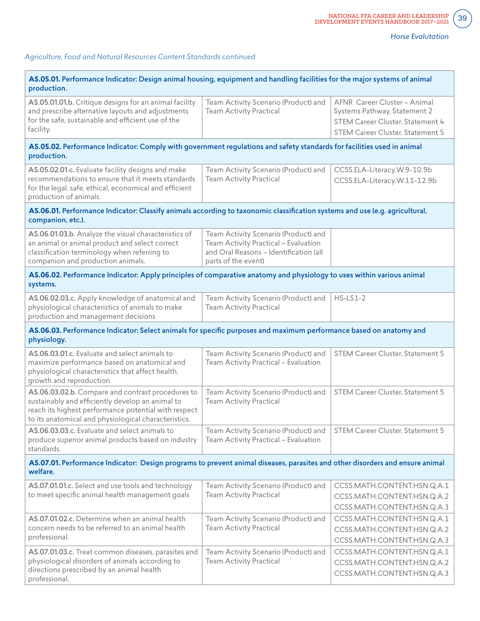$\left[39\right]$ 

| AS.05.01. Performance Indicator: Design animal housing, equipment and handling facilities for the major systems of animal<br>production.                                                                              |                                                                                                                                               |                                                                                                                                      |  |  |  |  |  |  |
|-----------------------------------------------------------------------------------------------------------------------------------------------------------------------------------------------------------------------|-----------------------------------------------------------------------------------------------------------------------------------------------|--------------------------------------------------------------------------------------------------------------------------------------|--|--|--|--|--|--|
| AS.05.01.01.b. Critique designs for an animal facility<br>and prescribe alternative layouts and adjustments<br>for the safe, sustainable and efficient use of the<br>facility.                                        | Team Activity Scenario (Product) and<br><b>Team Activity Practical</b>                                                                        | AFNR Career Cluster - Animal<br>Systems Pathway, Statement 2<br>STEM Career Cluster, Statement 4<br>STEM Career Cluster, Statement 5 |  |  |  |  |  |  |
| AS.05.02. Performance Indicator: Comply with government regulations and safety standards for facilities used in animal<br>production.                                                                                 |                                                                                                                                               |                                                                                                                                      |  |  |  |  |  |  |
| AS.05.02.01.c. Evaluate facility designs and make<br>recommendations to ensure that it meets standards<br>for the legal, safe, ethical, economical and efficient<br>production of animals.                            | Team Activity Scenario (Product) and<br><b>Team Activity Practical</b>                                                                        | CCSS.ELA-Literacy.W.9-10.9b<br>CCSS.ELA-Literacy.W.11-12.9b                                                                          |  |  |  |  |  |  |
| AS.06.01. Performance Indicator: Classify animals according to taxonomic classification systems and use (e.g. agricultural,<br>companion, etc.).                                                                      |                                                                                                                                               |                                                                                                                                      |  |  |  |  |  |  |
| AS.06.01.03.b. Analyze the visual characteristics of<br>an animal or animal product and select correct<br>classification terminology when referring to<br>companion and production animals.                           | Team Activity Scenario (Product) and<br>Team Activity Practical - Evaluation<br>and Oral Reasons - Identification (all<br>parts of the event) |                                                                                                                                      |  |  |  |  |  |  |
| AS.06.02. Performance Indicator: Apply principles of comparative anatomy and physiology to uses within various animal<br>systems.                                                                                     |                                                                                                                                               |                                                                                                                                      |  |  |  |  |  |  |
| AS.06.02.03.c. Apply knowledge of anatomical and<br>physiological characteristics of animals to make<br>production and management decisions                                                                           | Team Activity Scenario (Product) and<br><b>Team Activity Practical</b>                                                                        | $HS-LS1-2$                                                                                                                           |  |  |  |  |  |  |
| AS.06.03. Performance Indicator: Select animals for specific purposes and maximum performance based on anatomy and<br>physiology.                                                                                     |                                                                                                                                               |                                                                                                                                      |  |  |  |  |  |  |
| AS.06.03.01.c. Evaluate and select animals to<br>maximize performance based on anatomical and<br>physiological characteristics that affect health,<br>growth and reproduction                                         | Team Activity Scenario (Product) and<br>Team Activity Practical - Evaluation                                                                  | STEM Career Cluster, Statement 5                                                                                                     |  |  |  |  |  |  |
| AS.06.03.02.b. Compare and contrast procedures to<br>sustainably and efficiently develop an animal to<br>reach its highest performance potential with respect<br>to its anatomical and physiological characteristics. | Team Activity Scenario (Product) and<br><b>Team Activity Practical</b>                                                                        | STEM Career Cluster, Statement 5                                                                                                     |  |  |  |  |  |  |
| AS.06.03.03.c. Evaluate and select animals to<br>produce superior animal products based on industry<br>standards.                                                                                                     | Team Activity Scenario (Product) and<br>Team Activity Practical - Evaluation                                                                  | STEM Career Cluster, Statement 5                                                                                                     |  |  |  |  |  |  |
| welfare.                                                                                                                                                                                                              | AS.07.01. Performance Indicator: Design programs to prevent animal diseases, parasites and other disorders and ensure animal                  |                                                                                                                                      |  |  |  |  |  |  |
| AS.07.01.01.c. Select and use tools and technology<br>to meet specific animal health management goals                                                                                                                 | Team Activity Scenario (Product) and<br><b>Team Activity Practical</b>                                                                        | CCSS.MATH.CONTENT.HSN.Q.A.1<br>CCSS.MATH.CONTENT.HSN.Q.A.2<br>CCSS.MATH.CONTENT.HSN.Q.A.3                                            |  |  |  |  |  |  |
| AS.07.01.02.c. Determine when an animal health<br>concern needs to be referred to an animal health<br>professional.                                                                                                   | Team Activity Scenario (Product) and<br><b>Team Activity Practical</b>                                                                        | CCSS.MATH.CONTENT.HSN.Q.A.1<br>CCSS.MATH.CONTENT.HSN.Q.A.2<br>CCSS.MATH.CONTENT.HSN.Q.A.3                                            |  |  |  |  |  |  |
| AS.07.01.03.c. Treat common diseases, parasites and<br>physiological disorders of animals according to<br>directions prescribed by an animal health<br>professional.                                                  | Team Activity Scenario (Product) and<br><b>Team Activity Practical</b>                                                                        | CCSS.MATH.CONTENT.HSN.Q.A.1<br>CCSS.MATH.CONTENT.HSN.Q.A.2<br>CCSS.MATH.CONTENT.HSN.Q.A.3                                            |  |  |  |  |  |  |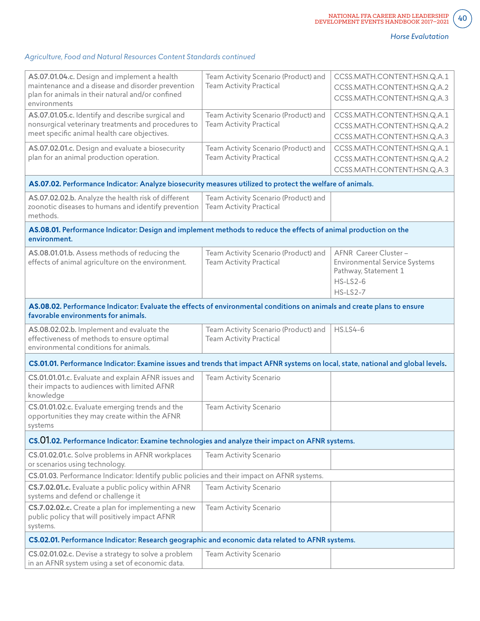$40<sup>°</sup>$ 

| AS.07.01.04.c. Design and implement a health<br>maintenance and a disease and disorder prevention<br>plan for animals in their natural and/or confined<br>environments | Team Activity Scenario (Product) and<br><b>Team Activity Practical</b> | CCSS.MATH.CONTENT.HSN.Q.A.1<br>CCSS.MATH.CONTENT.HSN.Q.A.2<br>CCSS.MATH.CONTENT.HSN.Q.A.3                           |  |
|------------------------------------------------------------------------------------------------------------------------------------------------------------------------|------------------------------------------------------------------------|---------------------------------------------------------------------------------------------------------------------|--|
| AS.07.01.05.c. Identify and describe surgical and<br>nonsurgical veterinary treatments and procedures to<br>meet specific animal health care objectives.               | Team Activity Scenario (Product) and<br><b>Team Activity Practical</b> | CCSS.MATH.CONTENT.HSN.Q.A.1<br>CCSS.MATH.CONTENT.HSN.Q.A.2<br>CCSS.MATH.CONTENT.HSN.Q.A.3                           |  |
| AS.07.02.01.c. Design and evaluate a biosecurity<br>plan for an animal production operation.                                                                           | Team Activity Scenario (Product) and<br><b>Team Activity Practical</b> | CCSS.MATH.CONTENT.HSN.Q.A.1<br>CCSS.MATH.CONTENT.HSN.Q.A.2<br>CCSS.MATH.CONTENT.HSN.Q.A.3                           |  |
| AS.07.02. Performance Indicator: Analyze biosecurity measures utilized to protect the welfare of animals.                                                              |                                                                        |                                                                                                                     |  |
| AS.07.02.02.b. Analyze the health risk of different<br>zoonotic diseases to humans and identify prevention<br>methods.                                                 | Team Activity Scenario (Product) and<br><b>Team Activity Practical</b> |                                                                                                                     |  |
| AS.08.01. Performance Indicator: Design and implement methods to reduce the effects of animal production on the<br>environment.                                        |                                                                        |                                                                                                                     |  |
| AS.08.01.01.b. Assess methods of reducing the<br>effects of animal agriculture on the environment.                                                                     | Team Activity Scenario (Product) and<br><b>Team Activity Practical</b> | AFNR Career Cluster -<br><b>Environmental Service Systems</b><br>Pathway, Statement 1<br>$HS$ -LS2-6<br>$HS$ -LS2-7 |  |
| AS.08.02. Performance Indicator: Evaluate the effects of environmental conditions on animals and create plans to ensure<br>favorable environments for animals.         |                                                                        |                                                                                                                     |  |
| AS.08.02.02.b. Implement and evaluate the<br>effectiveness of methods to ensure optimal<br>environmental conditions for animals.                                       | Team Activity Scenario (Product) and<br><b>Team Activity Practical</b> | <b>HS.LS4-6</b>                                                                                                     |  |
| CS.01.01. Performance Indicator: Examine issues and trends that impact AFNR systems on local, state, national and global levels.                                       |                                                                        |                                                                                                                     |  |
| CS.01.01.01.c. Evaluate and explain AFNR issues and<br>their impacts to audiences with limited AFNR<br>knowledge                                                       | Team Activity Scenario                                                 |                                                                                                                     |  |
| CS.01.01.02.c. Evaluate emerging trends and the<br>opportunities they may create within the AFNR<br>systems                                                            | Team Activity Scenario                                                 |                                                                                                                     |  |
| CS.01.02. Performance Indicator: Examine technologies and analyze their impact on AFNR systems.                                                                        |                                                                        |                                                                                                                     |  |
| CS.01.02.01.c. Solve problems in AFNR workplaces<br>or scenarios using technology.                                                                                     | Team Activity Scenario                                                 |                                                                                                                     |  |
| CS.01.03. Performance Indicator: Identify public policies and their impact on AFNR systems.                                                                            |                                                                        |                                                                                                                     |  |
| CS.7.02.01.c. Evaluate a public policy within AFNR<br>systems and defend or challenge it                                                                               | Team Activity Scenario                                                 |                                                                                                                     |  |
| CS.7.02.02.c. Create a plan for implementing a new<br>public policy that will positively impact AFNR<br>systems.                                                       | Team Activity Scenario                                                 |                                                                                                                     |  |
| CS.02.01. Performance Indicator: Research geographic and economic data related to AFNR systems.                                                                        |                                                                        |                                                                                                                     |  |
| CS.02.01.02.c. Devise a strategy to solve a problem<br>in an AFNR system using a set of economic data.                                                                 | Team Activity Scenario                                                 |                                                                                                                     |  |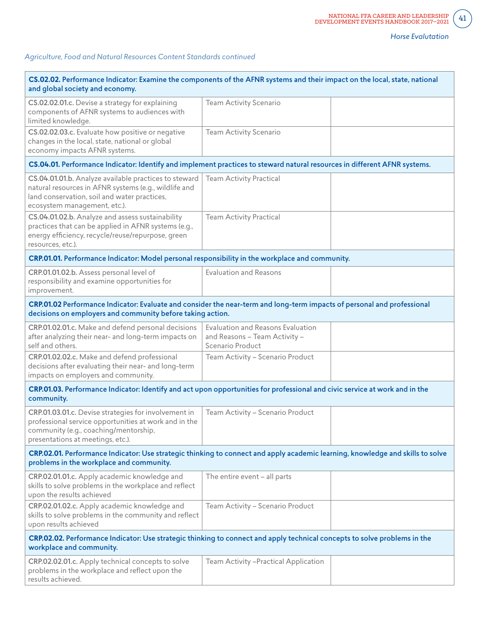| CS.02.02. Performance Indicator: Examine the components of the AFNR systems and their impact on the local, state, national<br>and global society and economy.                                  |                                                                                        |  |  |
|------------------------------------------------------------------------------------------------------------------------------------------------------------------------------------------------|----------------------------------------------------------------------------------------|--|--|
| CS.02.02.01.c. Devise a strategy for explaining<br>components of AFNR systems to audiences with<br>limited knowledge.                                                                          | Team Activity Scenario                                                                 |  |  |
| CS.02.02.03.c. Evaluate how positive or negative<br>changes in the local, state, national or global<br>economy impacts AFNR systems.                                                           | Team Activity Scenario                                                                 |  |  |
| CS.04.01. Performance Indicator: Identify and implement practices to steward natural resources in different AFNR systems.                                                                      |                                                                                        |  |  |
| CS.04.01.01.b. Analyze available practices to steward<br>natural resources in AFNR systems (e.g., wildlife and<br>land conservation, soil and water practices,<br>ecosystem management, etc.). | <b>Team Activity Practical</b>                                                         |  |  |
| CS.04.01.02.b. Analyze and assess sustainability<br>practices that can be applied in AFNR systems (e.g.,<br>energy efficiency, recycle/reuse/repurpose, green<br>resources, etc.).             | Team Activity Practical                                                                |  |  |
| CRP.01.01. Performance Indicator: Model personal responsibility in the workplace and community.                                                                                                |                                                                                        |  |  |
| CRP.01.01.02.b. Assess personal level of<br>responsibility and examine opportunities for<br>improvement.                                                                                       | <b>Evaluation and Reasons</b>                                                          |  |  |
| CRP.01.02 Performance Indicator: Evaluate and consider the near-term and long-term impacts of personal and professional<br>decisions on employers and community before taking action.          |                                                                                        |  |  |
| CRP.01.02.01.c. Make and defend personal decisions<br>after analyzing their near- and long-term impacts on<br>self and others.                                                                 | Evaluation and Reasons Evaluation<br>and Reasons - Team Activity -<br>Scenario Product |  |  |
| CRP.01.02.02.c. Make and defend professional<br>decisions after evaluating their near- and long-term<br>impacts on employers and community.                                                    | Team Activity - Scenario Product                                                       |  |  |
| CRP.01.03. Performance Indicator: Identify and act upon opportunities for professional and civic service at work and in the<br>community.                                                      |                                                                                        |  |  |
| CRP.01.03.01.c. Devise strategies for involvement in<br>professional service opportunities at work and in the<br>community (e.g., coaching/mentorship,<br>presentations at meetings, etc.).    | Team Activity - Scenario Product                                                       |  |  |
| CRP.02.01. Performance Indicator: Use strategic thinking to connect and apply academic learning, knowledge and skills to solve<br>problems in the workplace and community.                     |                                                                                        |  |  |
| CRP.02.01.01.c. Apply academic knowledge and<br>skills to solve problems in the workplace and reflect<br>upon the results achieved                                                             | The entire event - all parts                                                           |  |  |
| CRP.02.01.02.c. Apply academic knowledge and<br>skills to solve problems in the community and reflect<br>upon results achieved                                                                 | Team Activity - Scenario Product                                                       |  |  |
| CRP.02.02. Performance Indicator: Use strategic thinking to connect and apply technical concepts to solve problems in the<br>workplace and community.                                          |                                                                                        |  |  |
| CRP.02.02.01.c. Apply technical concepts to solve<br>problems in the workplace and reflect upon the<br>results achieved.                                                                       | Team Activity -Practical Application                                                   |  |  |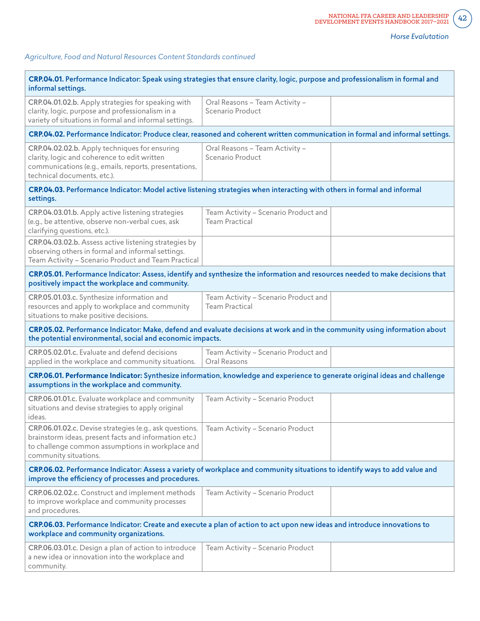$42<sup>2</sup>$ 

| CRP.04.01. Performance Indicator: Speak using strategies that ensure clarity, logic, purpose and professionalism in formal and<br>informal settings.                                          |                                                               |  |  |
|-----------------------------------------------------------------------------------------------------------------------------------------------------------------------------------------------|---------------------------------------------------------------|--|--|
| CRP.04.01.02.b. Apply strategies for speaking with<br>clarity, logic, purpose and professionalism in a<br>variety of situations in formal and informal settings.                              | Oral Reasons - Team Activity -<br>Scenario Product            |  |  |
| CRP.04.02. Performance Indicator: Produce clear, reasoned and coherent written communication in formal and informal settings.                                                                 |                                                               |  |  |
| CRP.04.02.02.b. Apply techniques for ensuring<br>clarity, logic and coherence to edit written<br>communications (e.g., emails, reports, presentations,<br>technical documents, etc.).         | Oral Reasons - Team Activity -<br>Scenario Product            |  |  |
| CRP.04.03. Performance Indicator: Model active listening strategies when interacting with others in formal and informal<br>settings.                                                          |                                                               |  |  |
| CRP.04.03.01.b. Apply active listening strategies<br>(e.g., be attentive, observe non-verbal cues, ask<br>clarifying questions, etc.).                                                        | Team Activity - Scenario Product and<br><b>Team Practical</b> |  |  |
| CRP.04.03.02.b. Assess active listening strategies by<br>observing others in formal and informal settings.<br>Team Activity - Scenario Product and Team Practical                             |                                                               |  |  |
| CRP.05.01. Performance Indicator: Assess, identify and synthesize the information and resources needed to make decisions that<br>positively impact the workplace and community.               |                                                               |  |  |
| CRP.05.01.03.c. Synthesize information and<br>resources and apply to workplace and community<br>situations to make positive decisions.                                                        | Team Activity - Scenario Product and<br><b>Team Practical</b> |  |  |
| CRP.05.02. Performance Indicator: Make, defend and evaluate decisions at work and in the community using information about<br>the potential environmental, social and economic impacts.       |                                                               |  |  |
| CRP.05.02.01.c. Evaluate and defend decisions<br>applied in the workplace and community situations.                                                                                           | Team Activity - Scenario Product and<br>Oral Reasons          |  |  |
| CRP.06.01. Performance Indicator: Synthesize information, knowledge and experience to generate original ideas and challenge<br>assumptions in the workplace and community.                    |                                                               |  |  |
| CRP.06.01.01.c. Evaluate workplace and community<br>situations and devise strategies to apply original<br>ideas.                                                                              | Team Activity - Scenario Product                              |  |  |
| CRP.06.01.02.c. Devise strategies (e.g., ask questions,<br>brainstorm ideas, present facts and information etc.)<br>to challenge common assumptions in workplace and<br>community situations. | Team Activity - Scenario Product                              |  |  |
| CRP.06.02. Performance Indicator: Assess a variety of workplace and community situations to identify ways to add value and<br>improve the efficiency of processes and procedures.             |                                                               |  |  |
| CRP.06.02.02.c. Construct and implement methods<br>to improve workplace and community processes<br>and procedures.                                                                            | Team Activity - Scenario Product                              |  |  |
| CRP.06.03. Performance Indicator: Create and execute a plan of action to act upon new ideas and introduce innovations to<br>workplace and community organizations.                            |                                                               |  |  |
| CRP.06.03.01.c. Design a plan of action to introduce<br>a new idea or innovation into the workplace and<br>community.                                                                         | Team Activity - Scenario Product                              |  |  |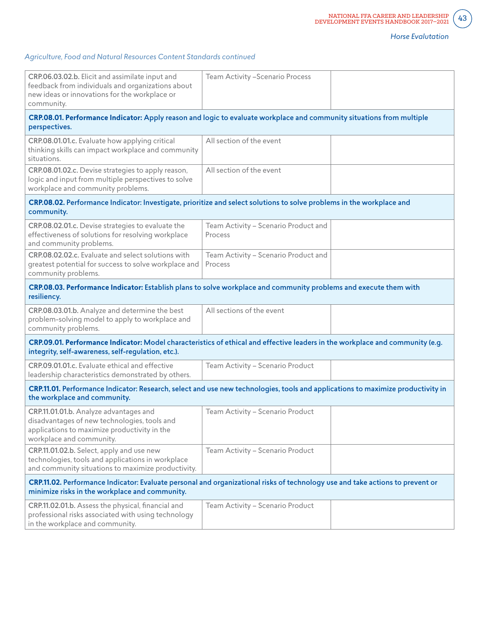$43<sup>°</sup>$ 

| CRP.06.03.02.b. Elicit and assimilate input and<br>feedback from individuals and organizations about<br>new ideas or innovations for the workplace or<br>community.                 | Team Activity - Scenario Process                |  |  |
|-------------------------------------------------------------------------------------------------------------------------------------------------------------------------------------|-------------------------------------------------|--|--|
| CRP.08.01. Performance Indicator: Apply reason and logic to evaluate workplace and community situations from multiple<br>perspectives.                                              |                                                 |  |  |
| CRP.08.01.01.c. Evaluate how applying critical<br>thinking skills can impact workplace and community<br>situations.                                                                 | All section of the event                        |  |  |
| CRP.08.01.02.c. Devise strategies to apply reason,<br>logic and input from multiple perspectives to solve<br>workplace and community problems.                                      | All section of the event                        |  |  |
| CRP.08.02. Performance Indicator: Investigate, prioritize and select solutions to solve problems in the workplace and<br>community.                                                 |                                                 |  |  |
| CRP.08.02.01.c. Devise strategies to evaluate the<br>effectiveness of solutions for resolving workplace<br>and community problems.                                                  | Team Activity - Scenario Product and<br>Process |  |  |
| CRP.08.02.02.c. Evaluate and select solutions with<br>greatest potential for success to solve workplace and<br>community problems.                                                  | Team Activity - Scenario Product and<br>Process |  |  |
| CRP.08.03. Performance Indicator: Establish plans to solve workplace and community problems and execute them with<br>resiliency.                                                    |                                                 |  |  |
| CRP.08.03.01.b. Analyze and determine the best<br>problem-solving model to apply to workplace and<br>community problems.                                                            | All sections of the event                       |  |  |
| CRP.09.01. Performance Indicator: Model characteristics of ethical and effective leaders in the workplace and community (e.g.<br>integrity, self-awareness, self-regulation, etc.). |                                                 |  |  |
| CRP.09.01.01.c. Evaluate ethical and effective<br>leadership characteristics demonstrated by others.                                                                                | Team Activity - Scenario Product                |  |  |
| CRP.11.01. Performance Indicator: Research, select and use new technologies, tools and applications to maximize productivity in<br>the workplace and community.                     |                                                 |  |  |
| CRP.11.01.01.b. Analyze advantages and<br>disadvantages of new technologies, tools and<br>applications to maximize productivity in the<br>workplace and community.                  | Team Activity - Scenario Product                |  |  |
| CRP.11.01.02.b. Select, apply and use new<br>technologies, tools and applications in workplace<br>and community situations to maximize productivity.                                | Team Activity - Scenario Product                |  |  |
| CRP.11.02. Performance Indicator: Evaluate personal and organizational risks of technology use and take actions to prevent or<br>minimize risks in the workplace and community.     |                                                 |  |  |
| CRP.11.02.01.b. Assess the physical, financial and<br>professional risks associated with using technology<br>in the workplace and community.                                        | Team Activity - Scenario Product                |  |  |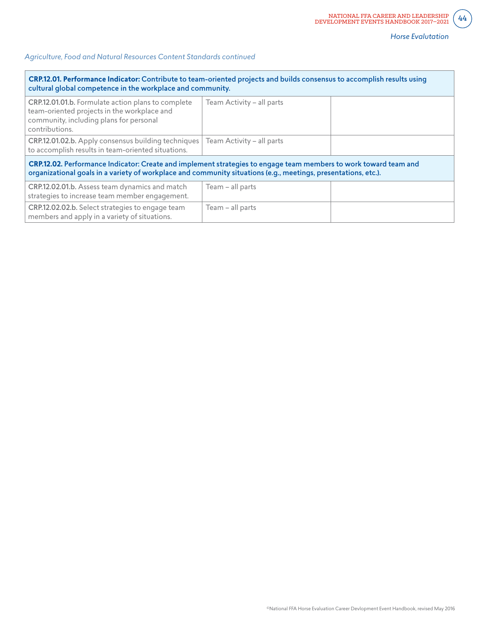| CRP.12.01. Performance Indicator: Contribute to team-oriented projects and builds consensus to accomplish results using<br>cultural global competence in the workplace and community.                                              |                           |  |  |
|------------------------------------------------------------------------------------------------------------------------------------------------------------------------------------------------------------------------------------|---------------------------|--|--|
| CRP.12.01.01.b. Formulate action plans to complete<br>team-oriented projects in the workplace and<br>community, including plans for personal<br>contributions.                                                                     | Team Activity - all parts |  |  |
| CRP.12.01.02.b. Apply consensus building techniques<br>to accomplish results in team-oriented situations.                                                                                                                          | Team Activity - all parts |  |  |
| CRP.12.02. Performance Indicator: Create and implement strategies to engage team members to work toward team and<br>organizational goals in a variety of workplace and community situations (e.g., meetings, presentations, etc.). |                           |  |  |
| CRP.12.02.01.b. Assess team dynamics and match<br>strategies to increase team member engagement.                                                                                                                                   | Team - all parts          |  |  |
| CRP.12.02.02.b. Select strategies to engage team<br>members and apply in a variety of situations.                                                                                                                                  | Team - all parts          |  |  |